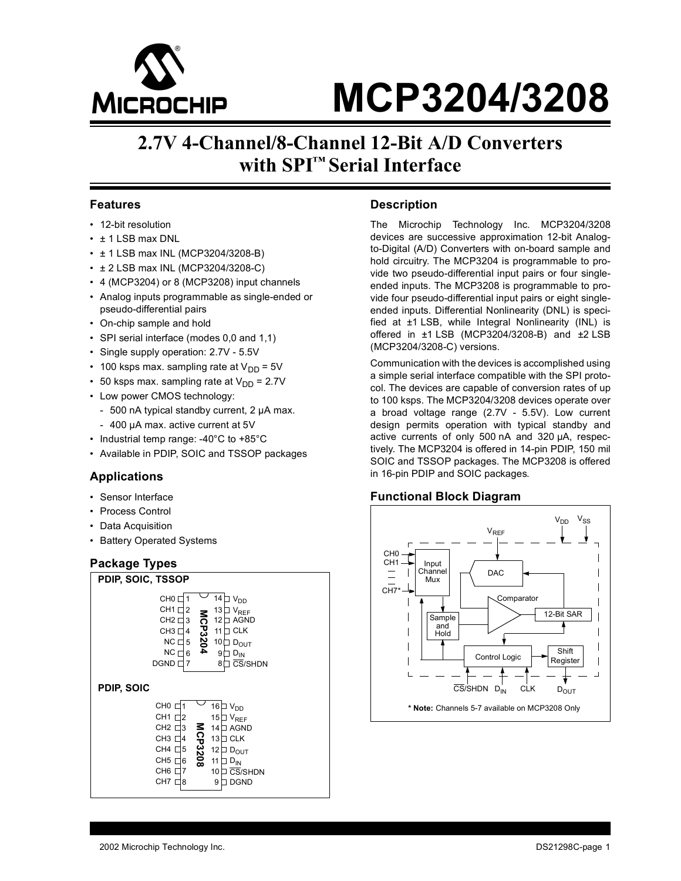

# M **MCP3204/3208**

## **2.7V 4-Channel/8-Channel 12-Bit A/D Converters with SPI™ Serial Interface**

#### **Features**

- 12-bit resolution
- ± 1 LSB max DNL
- ± 1 LSB max INL (MCP3204/3208-B)
- ± 2 LSB max INL (MCP3204/3208-C)
- 4 (MCP3204) or 8 (MCP3208) input channels
- Analog inputs programmable as single-ended or pseudo-differential pairs
- On-chip sample and hold
- SPI serial interface (modes 0,0 and 1,1)
- Single supply operation: 2.7V 5.5V
- 100 ksps max. sampling rate at  $V_{DD} = 5V$
- 50 ksps max. sampling rate at  $V_{DD} = 2.7V$
- Low power CMOS technology:
	- 500 nA typical standby current, 2 µA max.
	- 400 µA max. active current at 5V
- Industrial temp range: -40°C to +85°C
- Available in PDIP, SOIC and TSSOP packages

#### **Applications**

- Sensor Interface
- Process Control
- Data Acquisition
- Battery Operated Systems

#### **Package Types**



#### **Description**

The Microchip Technology Inc. MCP3204/3208 devices are successive approximation 12-bit Analogto-Digital (A/D) Converters with on-board sample and hold circuitry. The MCP3204 is programmable to provide two pseudo-differential input pairs or four singleended inputs. The MCP3208 is programmable to provide four pseudo-differential input pairs or eight singleended inputs. Differential Nonlinearity (DNL) is specified at ±1 LSB, while Integral Nonlinearity (INL) is offered in ±1 LSB (MCP3204/3208-B) and ±2 LSB (MCP3204/3208-C) versions.

Communication with the devices is accomplished using a simple serial interface compatible with the SPI protocol. The devices are capable of conversion rates of up to 100 ksps. The MCP3204/3208 devices operate over a broad voltage range (2.7V - 5.5V). Low current design permits operation with typical standby and active currents of only 500 nA and 320 µA, respectively. The MCP3204 is offered in 14-pin PDIP, 150 mil SOIC and TSSOP packages. The MCP3208 is offered in 16-pin PDIP and SOIC packages.

#### **Functional Block Diagram**

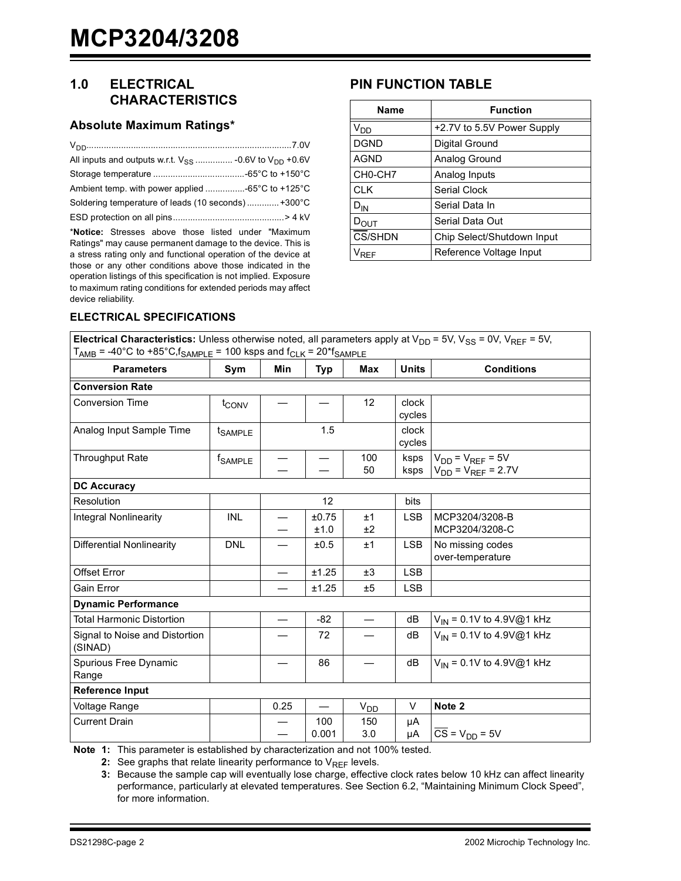## **1.0 ELECTRICAL CHARACTERISTICS**

#### **Absolute Maximum Ratings\***

| Ambient temp. with power applied -65°C to +125°C   |  |
|----------------------------------------------------|--|
| Soldering temperature of leads (10 seconds) +300°C |  |
|                                                    |  |

\***Notice:** Stresses above those listed under "Maximum Ratings" may cause permanent damage to the device. This is a stress rating only and functional operation of the device at those or any other conditions above those indicated in the operation listings of this specification is not implied. Exposure to maximum rating conditions for extended periods may affect device reliability.

## **PIN FUNCTION TABLE**

| <b>Name</b>                      | <b>Function</b>            |
|----------------------------------|----------------------------|
| $V_{DD}$                         | +2.7V to 5.5V Power Supply |
| <b>DGND</b>                      | Digital Ground             |
| <b>AGND</b>                      | Analog Ground              |
| CH <sub>0</sub> -CH <sub>7</sub> | Analog Inputs              |
| <b>CLK</b>                       | Serial Clock               |
| $D_{IN}$                         | Serial Data In             |
| $\nu_{\mathsf{OUT}}$             | Serial Data Out            |
| <b>CS/SHDN</b>                   | Chip Select/Shutdown Input |
| RFF                              | Reference Voltage Input    |

#### **ELECTRICAL SPECIFICATIONS**

| <b>Electrical Characteristics:</b> Unless otherwise noted, all parameters apply at $V_{DD}$ = 5V, $V_{SS}$ = 0V, $V_{REF}$ = 5V, |  |
|----------------------------------------------------------------------------------------------------------------------------------|--|
| $T_{AMB}$ = -40°C to +85°C, f <sub>SAMPLE</sub> = 100 ksps and f <sub>CLK</sub> = 20 <sup>*</sup> f <sub>SAMPLE</sub>            |  |

| <b>Parameters</b>                         | Sym                 | Min  | Typ           | Max                  | <b>Units</b>    | <b>Conditions</b>                                      |
|-------------------------------------------|---------------------|------|---------------|----------------------|-----------------|--------------------------------------------------------|
| <b>Conversion Rate</b>                    |                     |      |               |                      |                 |                                                        |
| <b>Conversion Time</b>                    | t <sub>CONV</sub>   |      |               | 12                   | clock<br>cycles |                                                        |
| Analog Input Sample Time                  | t <sub>SAMPLE</sub> |      | 1.5           |                      | clock<br>cycles |                                                        |
| <b>Throughput Rate</b>                    | <sup>t</sup> SAMPLE |      |               | 100<br>50            | ksps<br>ksps    | $V_{DD}$ = $V_{REF}$ = 5V<br>$V_{DD} = V_{REF} = 2.7V$ |
| <b>DC Accuracy</b>                        |                     |      |               |                      |                 |                                                        |
| Resolution                                |                     |      | 12            |                      | bits            |                                                        |
| <b>Integral Nonlinearity</b>              | <b>INL</b>          |      | ±0.75<br>±1.0 | ±1<br>±2             | <b>LSB</b>      | MCP3204/3208-B<br>MCP3204/3208-C                       |
| Differential Nonlinearity                 | <b>DNL</b>          |      | ±0.5          | ±1                   | <b>LSB</b>      | No missing codes<br>over-temperature                   |
| <b>Offset Error</b>                       |                     |      | ±1.25         | ±3                   | <b>LSB</b>      |                                                        |
| <b>Gain Error</b>                         |                     |      | ±1.25         | ±5                   | <b>LSB</b>      |                                                        |
| <b>Dynamic Performance</b>                |                     |      |               |                      |                 |                                                        |
| <b>Total Harmonic Distortion</b>          |                     |      | $-82$         |                      | dB              | $V_{1N}$ = 0.1V to 4.9V@1 kHz                          |
| Signal to Noise and Distortion<br>(SINAD) |                     |      | 72            |                      | dB              | $V_{1N}$ = 0.1V to 4.9V@1 kHz                          |
| Spurious Free Dynamic<br>Range            |                     |      | 86            |                      | dB              | $V_{1N}$ = 0.1V to 4.9V@1 kHz                          |
| <b>Reference Input</b>                    |                     |      |               |                      |                 |                                                        |
| Voltage Range                             |                     | 0.25 |               | $V_{D\underline{D}}$ | V               | Note 2                                                 |
| <b>Current Drain</b>                      |                     |      | 100<br>0.001  | 150<br>3.0           | μA<br>μA        | $\overline{CS}$ = V <sub>DD</sub> = 5V                 |

<span id="page-1-2"></span><span id="page-1-1"></span><span id="page-1-0"></span>**Note 1:** This parameter is established by characterization and not 100% tested.

**2:** See graphs that relate linearity performance to  $V_{REF}$  levels.

**3:** Because the sample cap will eventually lose charge, effective clock rates below 10 kHz can affect linearity performance, particularly at elevated temperatures. See [Section 6.2](#page-17-0), "Maintaining Minimum Clock Speed", for more information.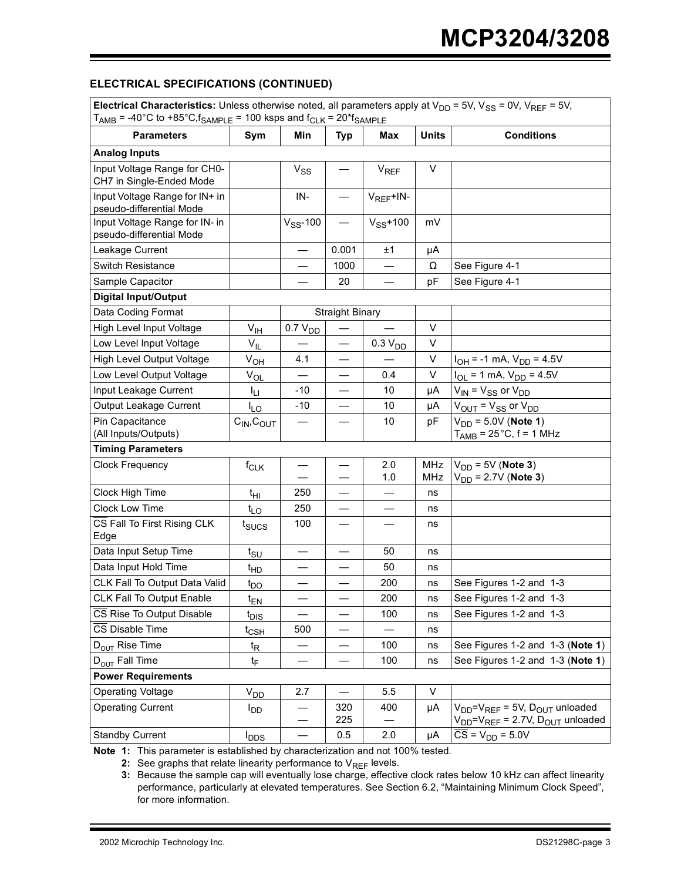#### **ELECTRICAL SPECIFICATIONS (CONTINUED)**

| Electrical Characteristics: Unless otherwise noted, all parameters apply at $V_{DD}$ = 5V, $V_{SS}$ = 0V, $V_{REF}$ = 5V,<br>$T_{\text{AMB}}$ = -40°C to +85°C, $f_{\text{SAMPLE}}$ = 100 ksps and $f_{\text{CLK}}$ = 20* $f_{\text{SAMPLE}}$ |                         |                     |                        |                     |              |                                                                                             |  |
|-----------------------------------------------------------------------------------------------------------------------------------------------------------------------------------------------------------------------------------------------|-------------------------|---------------------|------------------------|---------------------|--------------|---------------------------------------------------------------------------------------------|--|
| <b>Parameters</b>                                                                                                                                                                                                                             | Sym                     | Min                 | <b>Typ</b>             | Max                 | <b>Units</b> | <b>Conditions</b>                                                                           |  |
| <b>Analog Inputs</b>                                                                                                                                                                                                                          |                         |                     |                        |                     |              |                                                                                             |  |
| Input Voltage Range for CH0-<br>CH7 in Single-Ended Mode                                                                                                                                                                                      |                         | $V_{SS}$            |                        | $V_{REF}$           | V            |                                                                                             |  |
| Input Voltage Range for IN+ in<br>pseudo-differential Mode                                                                                                                                                                                    |                         | IN-                 |                        | $V_{REF}$ +IN-      |              |                                                                                             |  |
| Input Voltage Range for IN- in<br>pseudo-differential Mode                                                                                                                                                                                    |                         | $V_{SS}$ -100       |                        | $V_{SS}$ +100       | mV           |                                                                                             |  |
| Leakage Current                                                                                                                                                                                                                               |                         |                     | 0.001                  | ±1                  | μA           |                                                                                             |  |
| Switch Resistance                                                                                                                                                                                                                             |                         |                     | 1000                   |                     | Ω            | See Figure 4-1                                                                              |  |
| Sample Capacitor                                                                                                                                                                                                                              |                         |                     | 20                     |                     | рF           | See Figure 4-1                                                                              |  |
| <b>Digital Input/Output</b>                                                                                                                                                                                                                   |                         |                     |                        |                     |              |                                                                                             |  |
| Data Coding Format                                                                                                                                                                                                                            |                         |                     | <b>Straight Binary</b> |                     |              |                                                                                             |  |
| High Level Input Voltage                                                                                                                                                                                                                      | $V_{\text{IH}}$         | 0.7 V <sub>DD</sub> |                        |                     | V            |                                                                                             |  |
| Low Level Input Voltage                                                                                                                                                                                                                       | $V_{IL}$                |                     |                        | 0.3 V <sub>DD</sub> | V            |                                                                                             |  |
| High Level Output Voltage                                                                                                                                                                                                                     | $V_{O\underline{H}}$    | 4.1                 |                        |                     | V            | $I_{OH}$ = -1 mA, $V_{DD}$ = 4.5V                                                           |  |
| Low Level Output Voltage                                                                                                                                                                                                                      | $V_{OL}$                |                     |                        | 0.4                 | V            | $I_{OL}$ = 1 mA, $V_{DD}$ = 4.5V                                                            |  |
| Input Leakage Current                                                                                                                                                                                                                         | ŀц                      | -10                 | —                      | 10                  | μA           | $V_{IN}$ = $V_{SS}$ or $V_{DD}$                                                             |  |
| Output Leakage Current                                                                                                                                                                                                                        | $I_{LO}$                | $-10$               |                        | 10                  | μA           | $V_{OUIT} = V_{SS}$ or $V_{DD}$                                                             |  |
| Pin Capacitance<br>(All Inputs/Outputs)                                                                                                                                                                                                       | $C_{IN}$ , $C_{OUT}$    |                     |                        | 10                  | рF           | $V_{DD} = 5.0V$ (Note 1)<br>$T_{\text{AMB}}$ = 25°C, f = 1 MHz                              |  |
| <b>Timing Parameters</b>                                                                                                                                                                                                                      |                         |                     |                        |                     |              |                                                                                             |  |
| <b>Clock Frequency</b>                                                                                                                                                                                                                        | $f_{\sf CLK}$           |                     |                        | 2.0<br>1.0          | MHz<br>MHz   | $V_{DD}$ = 5V (Note 3)<br>$V_{DD} = 2.7V$ (Note 3)                                          |  |
| Clock High Time                                                                                                                                                                                                                               | t <sub>НІ</sub>         | 250                 |                        |                     | ns           |                                                                                             |  |
| Clock Low Time                                                                                                                                                                                                                                | $t_{LO}$                | 250                 |                        |                     | ns           |                                                                                             |  |
| CS Fall To First Rising CLK<br>Edge                                                                                                                                                                                                           | t <sub>sucs</sub>       | 100                 | —                      | —                   | ns           |                                                                                             |  |
| Data Input Setup Time                                                                                                                                                                                                                         | $t_{\text{SU}}$         |                     | —                      | 50                  | ns           |                                                                                             |  |
| Data Input Hold Time                                                                                                                                                                                                                          | $t_{HD}$                |                     |                        | 50                  | ns           |                                                                                             |  |
| CLK Fall To Output Data Valid                                                                                                                                                                                                                 | $t_{DO}$                |                     |                        | 200                 | ns           | See Figures 1-2 and 1-3                                                                     |  |
| CLK Fall To Output Enable                                                                                                                                                                                                                     | $t_{EN}$                |                     |                        | 200                 | ns           | See Figures 1-2 and 1-3                                                                     |  |
| CS Rise To Output Disable                                                                                                                                                                                                                     | $t_{DIS}$               |                     |                        | 100                 | ns           | See Figures 1-2 and 1-3                                                                     |  |
| CS Disable Time                                                                                                                                                                                                                               | $t_{\mathsf{CSH}}$      | 500                 |                        |                     | ns           |                                                                                             |  |
| $D_{\text{OUT}}$ Rise Time                                                                                                                                                                                                                    | $t_{\mathsf{R}}$        |                     |                        | 100                 | ns           | See Figures 1-2 and 1-3 (Note 1)                                                            |  |
| D <sub>OUT</sub> Fall Time                                                                                                                                                                                                                    | t <sub>F</sub>          |                     |                        | 100                 | ns           | See Figures 1-2 and 1-3 (Note 1)                                                            |  |
| <b>Power Requirements</b>                                                                                                                                                                                                                     |                         |                     |                        |                     |              |                                                                                             |  |
| <b>Operating Voltage</b>                                                                                                                                                                                                                      | $V_{DD}$                | 2.7                 | $\qquad \qquad$        | 5.5                 | V            |                                                                                             |  |
| <b>Operating Current</b>                                                                                                                                                                                                                      | <b>I</b> <sub>DD</sub>  |                     | 320<br>225             | 400                 | μA           | $V_{DD} = V_{REF} = 5V$ , $D_{OUT}$ unloaded<br>$V_{DD} = V_{REF} = 2.7V, D_{OUT}$ unloaded |  |
| <b>Standby Current</b>                                                                                                                                                                                                                        | <b>I</b> <sub>DDS</sub> |                     | 0.5                    | 2.0                 | μA           | $CS = V_{DD} = 5.0V$                                                                        |  |

**Note 1:** This parameter is established by characterization and not 100% tested.

**2:** See graphs that relate linearity performance to  $V_{REF}$  levels.

**3:** Because the sample cap will eventually lose charge, effective clock rates below 10 kHz can affect linearity performance, particularly at elevated temperatures. See Section 6.2, "Maintaining Minimum Clock Speed", for more information.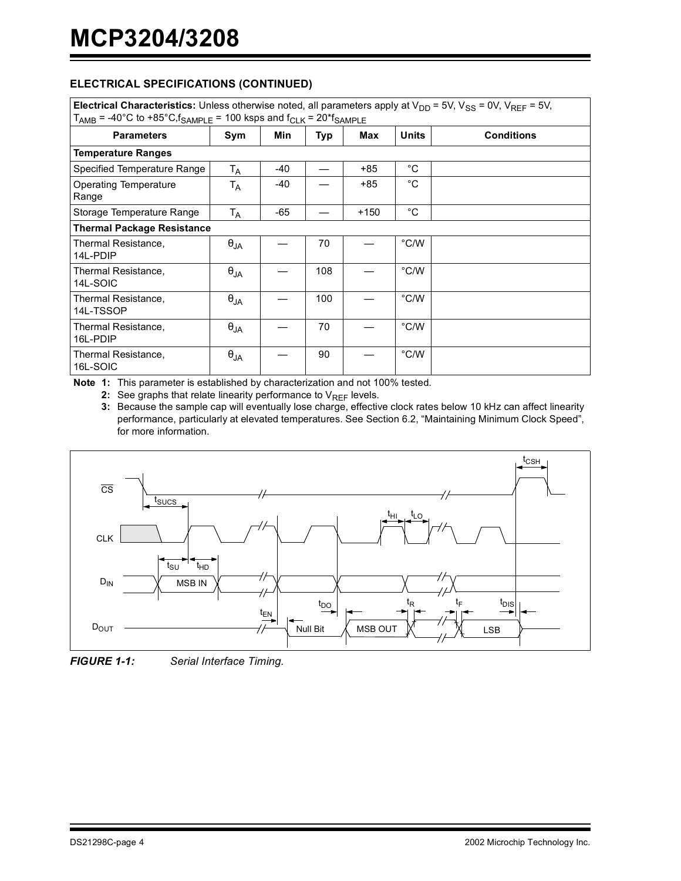#### **ELECTRICAL SPECIFICATIONS (CONTINUED)**

| Electrical Characteristics: Unless otherwise noted, all parameters apply at $V_{DD}$ = 5V, $V_{SS}$ = 0V, $V_{REF}$ = 5V,<br>$T_{AMB}$ = -40°C to +85°C, $f_{SAMPLE}$ = 100 ksps and $f_{CLK}$ = 20* $f_{SAMPLE}$ |               |     |     |        |                |                   |  |  |  |
|-------------------------------------------------------------------------------------------------------------------------------------------------------------------------------------------------------------------|---------------|-----|-----|--------|----------------|-------------------|--|--|--|
| <b>Parameters</b>                                                                                                                                                                                                 | Sym           | Min | Typ | Max    | <b>Units</b>   | <b>Conditions</b> |  |  |  |
| <b>Temperature Ranges</b>                                                                                                                                                                                         |               |     |     |        |                |                   |  |  |  |
| Specified Temperature Range                                                                                                                                                                                       | $T_A$         | -40 |     | $+85$  | $^{\circ}$ C   |                   |  |  |  |
| Operating Temperature<br>Range                                                                                                                                                                                    | $T_A$         | -40 |     | +85    | °C             |                   |  |  |  |
| Storage Temperature Range                                                                                                                                                                                         | $T_A$         | -65 |     | $+150$ | °C             |                   |  |  |  |
| <b>Thermal Package Resistance</b>                                                                                                                                                                                 |               |     |     |        |                |                   |  |  |  |
| Thermal Resistance,<br>14L-PDIP                                                                                                                                                                                   | $\theta_{JA}$ |     | 70  |        | °C/W           |                   |  |  |  |
| Thermal Resistance,<br>14L-SOIC                                                                                                                                                                                   | $\theta_{JA}$ |     | 108 |        | °C/W           |                   |  |  |  |
| Thermal Resistance,<br>14L-TSSOP                                                                                                                                                                                  | $\theta_{JA}$ |     | 100 |        | °C/W           |                   |  |  |  |
| Thermal Resistance,<br>16L-PDIP                                                                                                                                                                                   | $\theta_{JA}$ |     | 70  |        | $^{\circ}$ C/W |                   |  |  |  |
| Thermal Resistance,<br>16L-SOIC                                                                                                                                                                                   | $\theta_{JA}$ |     | 90  |        | °C/W           |                   |  |  |  |

**Note 1:** This parameter is established by characterization and not 100% tested.

**2:** See graphs that relate linearity performance to  $V_{REF}$  levels.

**3:** Because the sample cap will eventually lose charge, effective clock rates below 10 kHz can affect linearity performance, particularly at elevated temperatures. See Section 6.2, "Maintaining Minimum Clock Speed", for more information.



*FIGURE 1-1: Serial Interface Timing.*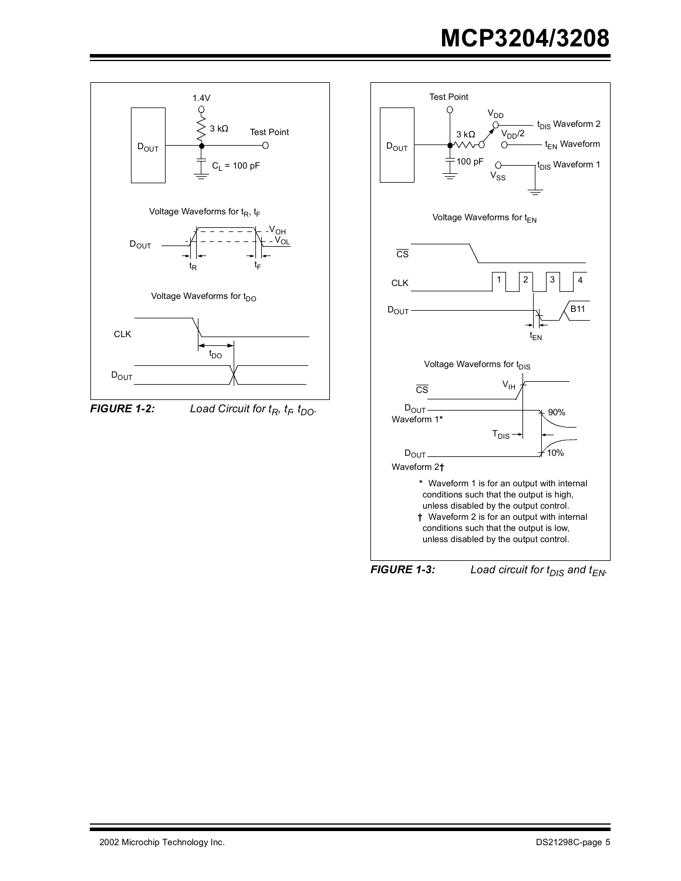<span id="page-4-0"></span>

<span id="page-4-1"></span>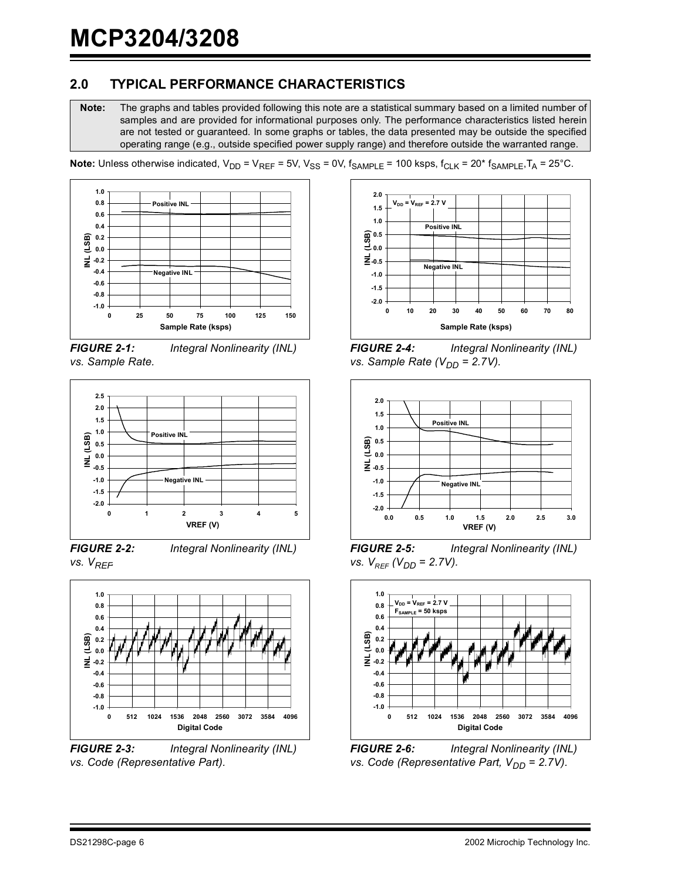## **2.0 TYPICAL PERFORMANCE CHARACTERISTICS**

**Note:** The graphs and tables provided following this note are a statistical summary based on a limited number of samples and are provided for informational purposes only. The performance characteristics listed herein are not tested or guaranteed. In some graphs or tables, the data presented may be outside the specified operating range (e.g., outside specified power supply range) and therefore outside the warranted range.



*FIGURE 2-1: Integral Nonlinearity (INL) vs. Sample Rate.*



*FIGURE 2-2: Integral Nonlinearity (INL) vs. VREF.*



*FIGURE 2-3: Integral Nonlinearity (INL) vs. Code (Representative Part).*



*FIGURE 2-4: Integral Nonlinearity (INL) vs. Sample Rate (* $V_{DD}$  *= 2.7V).* 



*FIGURE 2-5: Integral Nonlinearity (INL) vs.*  $V_{REF}$  ( $V_{DD}$  = 2.7V).



*FIGURE 2-6: Integral Nonlinearity (INL) vs. Code (Representative Part, V<sub>DD</sub> = 2.7V).*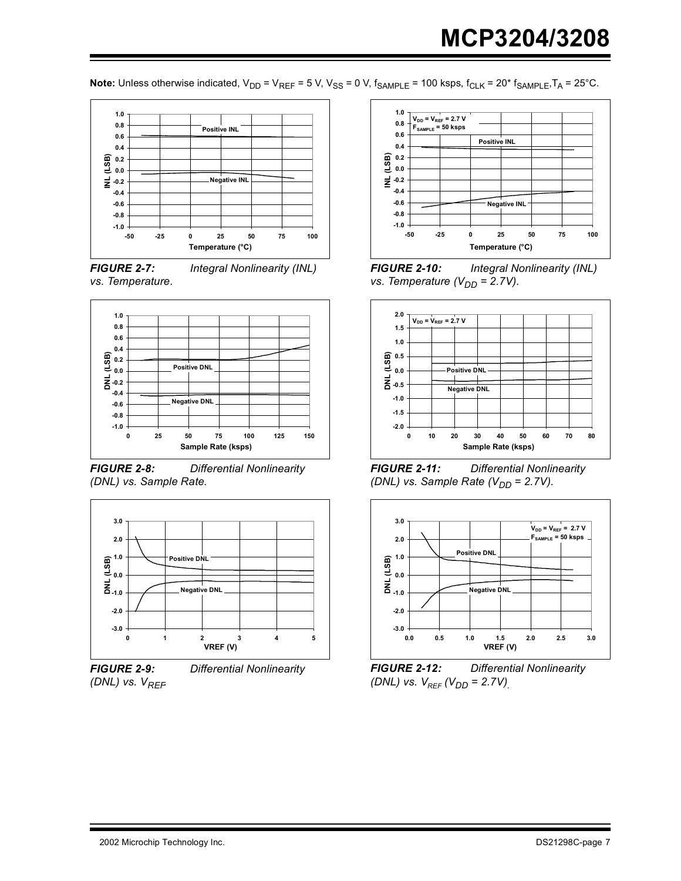

*FIGURE 2-7: Integral Nonlinearity (INL) vs. Temperature.*



*FIGURE 2-8: Differential Nonlinearity (DNL) vs. Sample Rate.*



*FIGURE 2-9: Differential Nonlinearity (DNL) vs.*  $V_{REF}$ 



*FIGURE 2-10: Integral Nonlinearity (INL) vs. Temperature (V<sub>DD</sub> = 2.7V).* 



*FIGURE 2-11: Differential Nonlinearity (DNL) vs. Sample Rate (V<sub>DD</sub> = 2.7V).* 



*FIGURE 2-12: Differential Nonlinearity (DNL) vs.*  $V_{REF}$  *(V<sub>DD</sub>* = 2.7V)<sub>.</sub>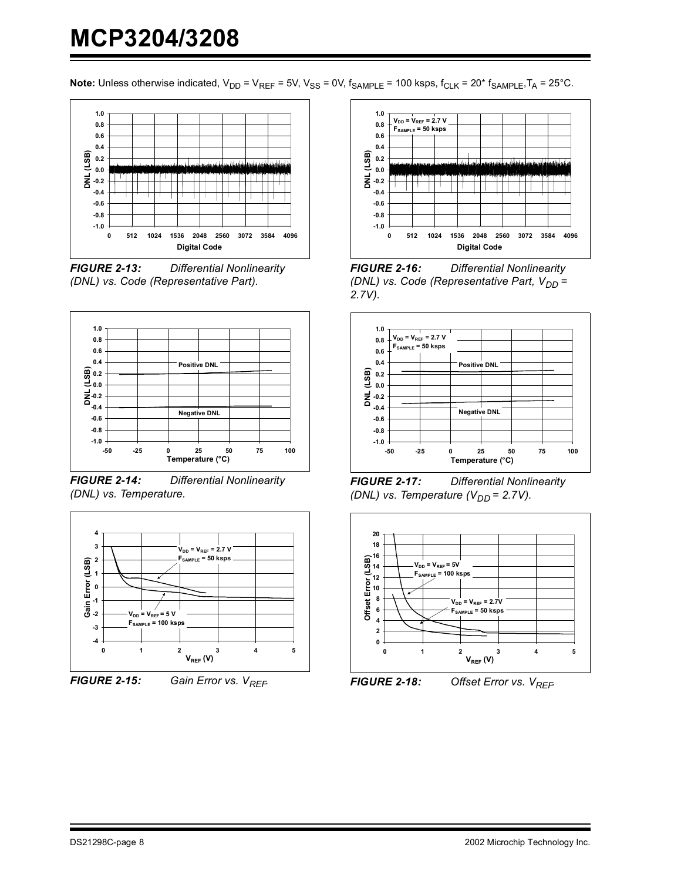

*FIGURE 2-13: Differential Nonlinearity (DNL) vs. Code (Representative Part).*



*FIGURE 2-14: Differential Nonlinearity (DNL) vs. Temperature.*



*FIGURE 2-15: Gain Error vs. V<sub>RFF</sub>* 



*FIGURE 2-16: Differential Nonlinearity (DNL) vs. Code (Representative Part, V<sub>DD</sub>* = *2.7V).*



*FIGURE 2-17: Differential Nonlinearity (DNL) vs. Temperature (V<sub>DD</sub> = 2.7V).* 



*FIGURE 2-18: Offset Error vs.*  $V_{REF}$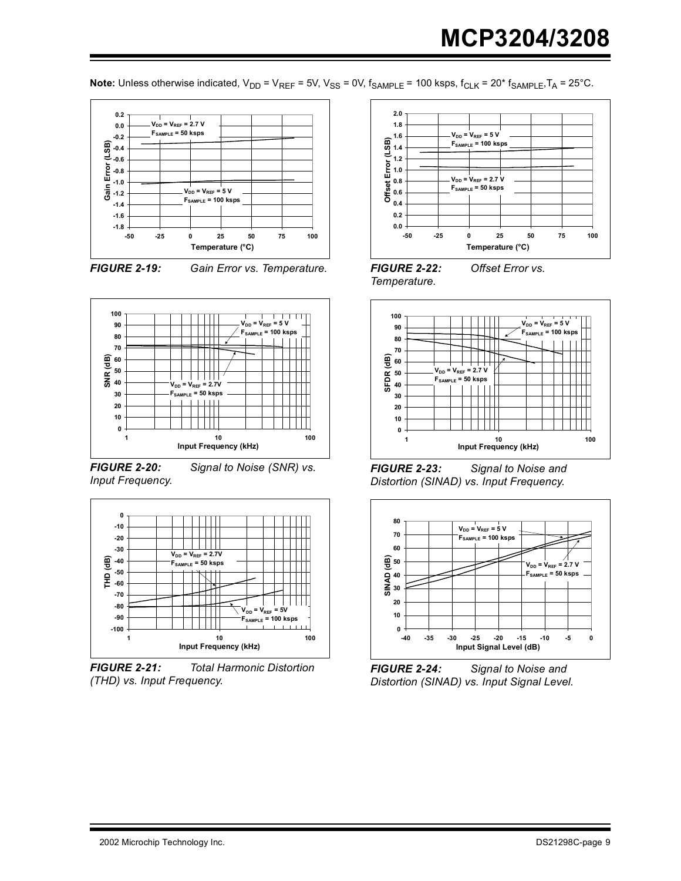**Note:** Unless otherwise indicated,  $V_{DD} = V_{REF} = 5V$ ,  $V_{SS} = 0V$ ,  $f_{SAMPLE} = 100$  ksps,  $f_{CLK} = 20*$   $f_{SAMPLE}$ ,  $T_A = 25°C$ .





*FIGURE 2-19: Gain Error vs. Temperature.*



*Input Frequency.*

*FIGURE 2-20: Signal to Noise (SNR) vs.* 



*FIGURE 2-21: Total Harmonic Distortion (THD) vs. Input Frequency.*



*FIGURE 2-22: Offset Error vs. Temperature.*



*FIGURE 2-23: Signal to Noise and Distortion (SINAD) vs. Input Frequency.*



*FIGURE 2-24: Signal to Noise and Distortion (SINAD) vs. Input Signal Level.*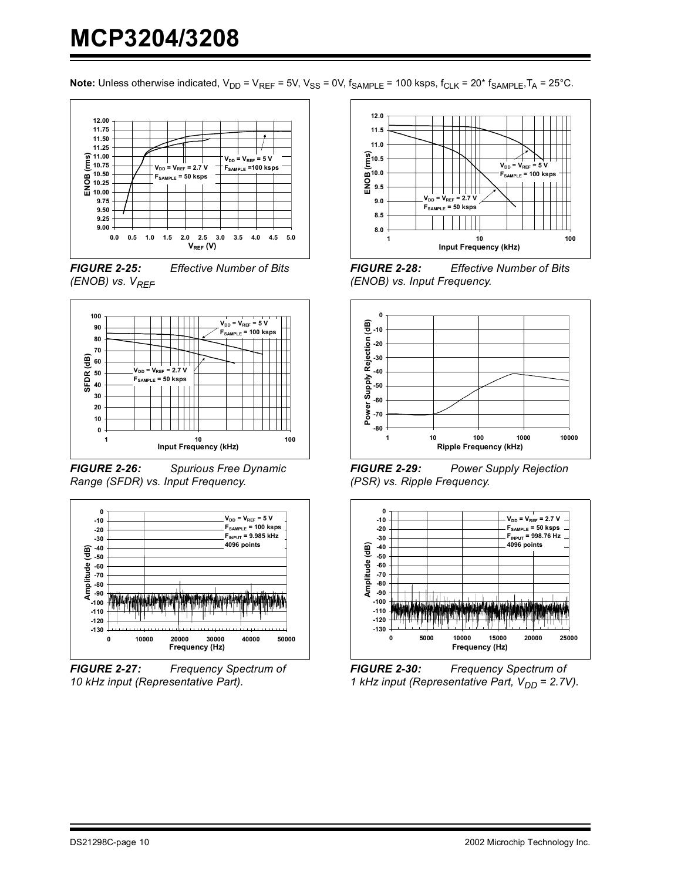

*FIGURE 2-25: Effective Number of Bits (ENOB) vs.*  $V_{REF}$ 



*FIGURE 2-26: Spurious Free Dynamic Range (SFDR) vs. Input Frequency.*



*FIGURE 2-27: Frequency Spectrum of 10 kHz input (Representative Part).*



*FIGURE 2-28: Effective Number of Bits (ENOB) vs. Input Frequency.*



*FIGURE 2-29: Power Supply Rejection (PSR) vs. Ripple Frequency.*



*FIGURE 2-30: Frequency Spectrum of 1 kHz input (Representative Part, V<sub>DD</sub> = 2.7V).*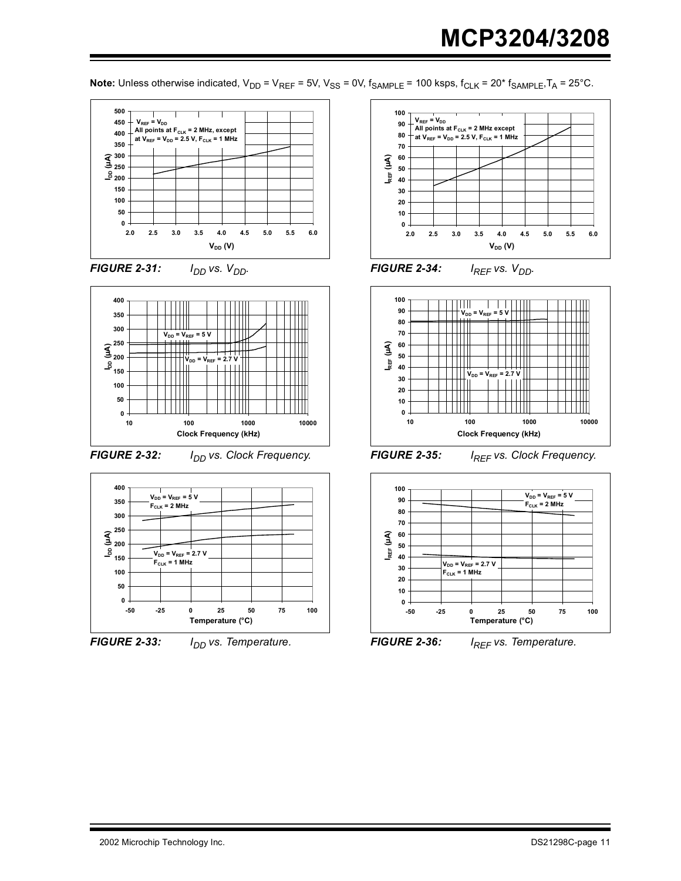















*FIGURE 2-34: I<sub>REF</sub> vs. V<sub>DD</sub>.* 



**FIGURE 2-35:** *I<sub>REF</sub> vs. Clock Frequency.* 



*FIGURE 2-36: IREF vs. Temperature.*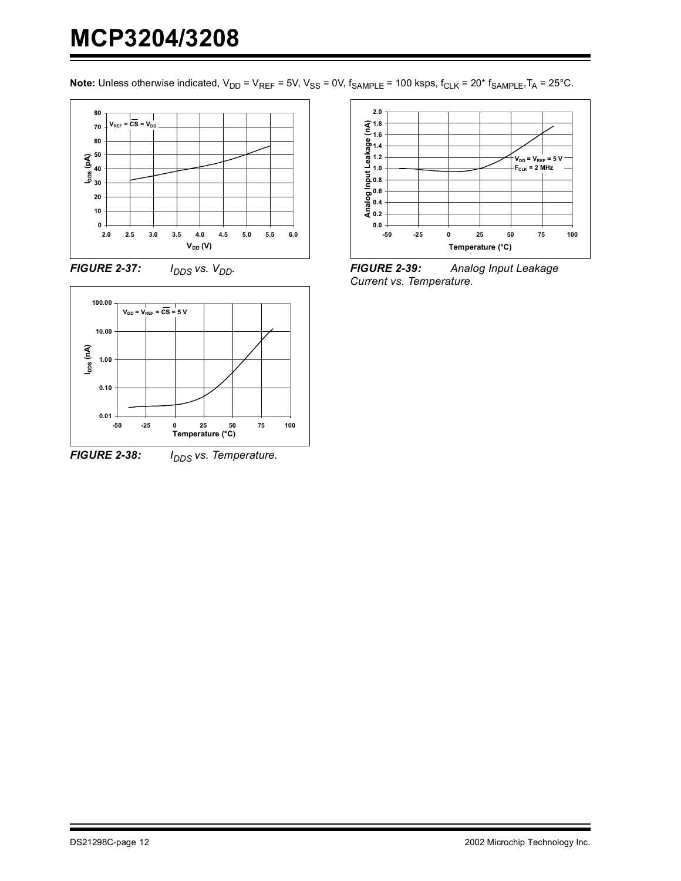





*FIGURE 2-38: I<sub>DDS</sub> vs. Temperature.* 



*FIGURE 2-39: Analog Input Leakage Current vs. Temperature.*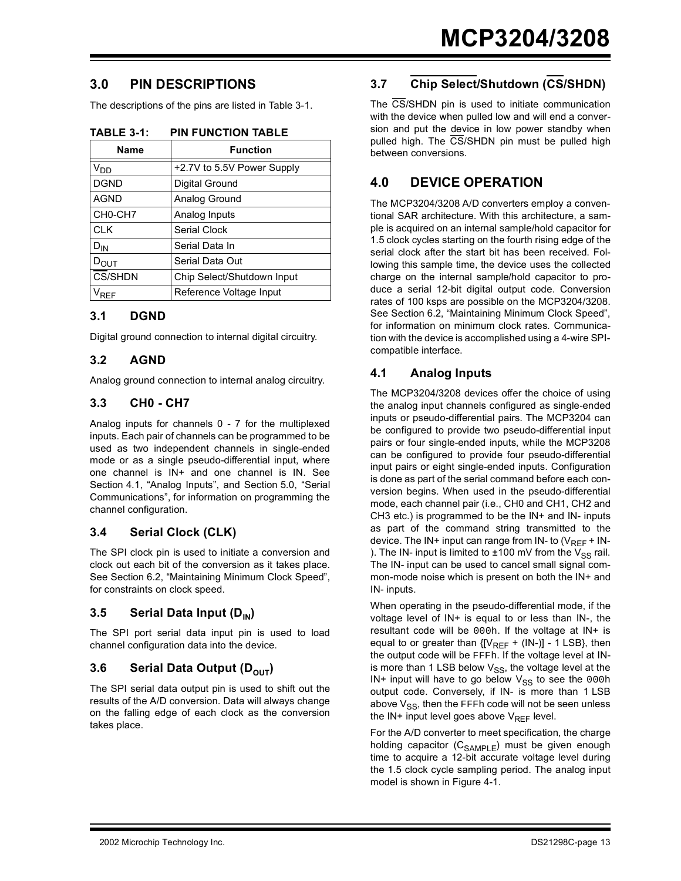## **3.0 PIN DESCRIPTIONS**

The descriptions of the pins are listed in [Table 3-1.](#page-12-0)

| Name             | <b>Function</b>            |
|------------------|----------------------------|
| V <sub>DD</sub>  | +2.7V to 5.5V Power Supply |
| <b>DGND</b>      | Digital Ground             |
| <b>AGND</b>      | Analog Ground              |
| CH0-CH7          | Analog Inputs              |
| <b>CLK</b>       | <b>Serial Clock</b>        |
| $D_{IN}$         | Serial Data In             |
| $D_{\text{OUT}}$ | Serial Data Out            |
| CS/SHDN          | Chip Select/Shutdown Input |
| <b>RFF</b>       | Reference Voltage Input    |

<span id="page-12-0"></span>**TABLE 3-1: PIN FUNCTION TABLE**

#### **3.1 DGND**

Digital ground connection to internal digital circuitry.

#### **3.2 AGND**

Analog ground connection to internal analog circuitry.

#### **3.3 CH0 - CH7**

Analog inputs for channels 0 - 7 for the multiplexed inputs. Each pair of channels can be programmed to be used as two independent channels in single-ended mode or as a single pseudo-differential input, where one channel is IN+ and one channel is IN. See [Section 4.1](#page-12-1), "Analog Inputs", and [Section 5.0,](#page-14-0) "Serial Communications", for information on programming the channel configuration.

### **3.4 Serial Clock (CLK)**

The SPI clock pin is used to initiate a conversion and clock out each bit of the conversion as it takes place. See [Section 6.2](#page-17-0), "Maintaining Minimum Clock Speed", for constraints on clock speed.

### **3.5 Serial Data Input (D<sub>IN</sub>)**

The SPI port serial data input pin is used to load channel configuration data into the device.

#### **3.6 Serial Data Output (DOUT)**

The SPI serial data output pin is used to shift out the results of the A/D conversion. Data will always change on the falling edge of each clock as the conversion takes place.

## **3.7 Chip Select/Shutdown (CS/SHDN)**

The CS/SHDN pin is used to initiate communication with the device when pulled low and will end a conversion and put the device in low power standby when pulled high. The CS/SHDN pin must be pulled high between conversions.

## **4.0 DEVICE OPERATION**

The MCP3204/3208 A/D converters employ a conventional SAR architecture. With this architecture, a sample is acquired on an internal sample/hold capacitor for 1.5 clock cycles starting on the fourth rising edge of the serial clock after the start bit has been received. Following this sample time, the device uses the collected charge on the internal sample/hold capacitor to produce a serial 12-bit digital output code. Conversion rates of 100 ksps are possible on the MCP3204/3208. See [Section 6.2](#page-17-0), "Maintaining Minimum Clock Speed", for information on minimum clock rates. Communication with the device is accomplished using a 4-wire SPIcompatible interface.

### <span id="page-12-1"></span>**4.1 Analog Inputs**

The MCP3204/3208 devices offer the choice of using the analog input channels configured as single-ended inputs or pseudo-differential pairs. The MCP3204 can be configured to provide two pseudo-differential input pairs or four single-ended inputs, while the MCP3208 can be configured to provide four pseudo-differential input pairs or eight single-ended inputs. Configuration is done as part of the serial command before each conversion begins. When used in the pseudo-differential mode, each channel pair (i.e., CH0 and CH1, CH2 and CH3 etc.) is programmed to be the IN+ and IN- inputs as part of the command string transmitted to the device. The IN+ input can range from IN- to  $(V_{REF} + IN-$ ). The IN- input is limited to  $\pm 100$  mV from the V<sub>SS</sub> rail. The IN- input can be used to cancel small signal common-mode noise which is present on both the IN+ and IN- inputs.

When operating in the pseudo-differential mode, if the voltage level of IN+ is equal to or less than IN-, the resultant code will be 000h. If the voltage at IN+ is equal to or greater than  ${[V_{REF} + (IN-)]}$  - 1 LSB}, then the output code will be FFFh. If the voltage level at INis more than 1 LSB below  $V_{SS}$ , the voltage level at the IN+ input will have to go below  $V_{SS}$  to see the 000h output code. Conversely, if IN- is more than 1 LSB above  $V_{SS}$ , then the FFFh code will not be seen unless the IN+ input level goes above  $V_{REF}$  level.

For the A/D converter to meet specification, the charge holding capacitor  $(C_{SAMPLE})$  must be given enough time to acquire a 12-bit accurate voltage level during the 1.5 clock cycle sampling period. The analog input model is shown in [Figure 4-1](#page-13-0).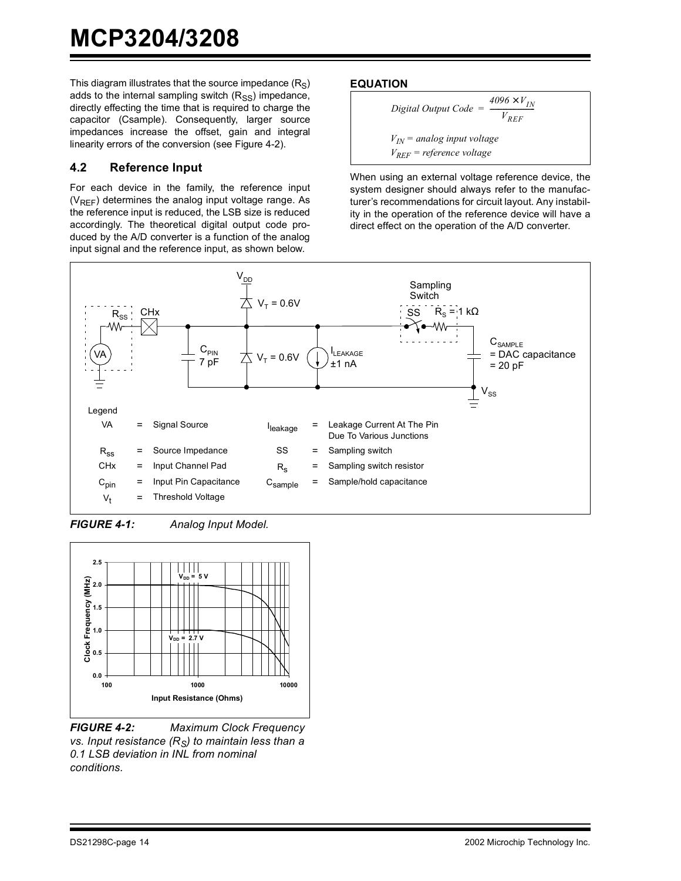This diagram illustrates that the source impedance  $(R<sub>S</sub>)$ adds to the internal sampling switch  $(R_{SS})$  impedance, directly effecting the time that is required to charge the capacitor (Csample). Consequently, larger source impedances increase the offset, gain and integral linearity errors of the conversion (see [Figure 4-2\)](#page-13-1).

#### **4.2 Reference Input**

For each device in the family, the reference input  $(V_{RFF})$  determines the analog input voltage range. As the reference input is reduced, the LSB size is reduced accordingly. The theoretical digital output code produced by the A/D converter is a function of the analog input signal and the reference input, as shown below.

#### **EQUATION**

Digital Output Code =

\n
$$
\frac{4096 \times V_{IN}}{V_{REF}}
$$
\n
$$
V_{IN} = \text{analog input voltage}
$$
\n
$$
V_{REF} = \text{reference voltage}
$$

When using an external voltage reference device, the system designer should always refer to the manufacturer's recommendations for circuit layout. Any instability in the operation of the reference device will have a direct effect on the operation of the A/D converter.



<span id="page-13-0"></span>*FIGURE 4-1: Analog Input Model.*



<span id="page-13-1"></span>*FIGURE 4-2: Maximum Clock Frequency vs. Input resistance (R<sub>S</sub>) to maintain less than a 0.1 LSB deviation in INL from nominal conditions.*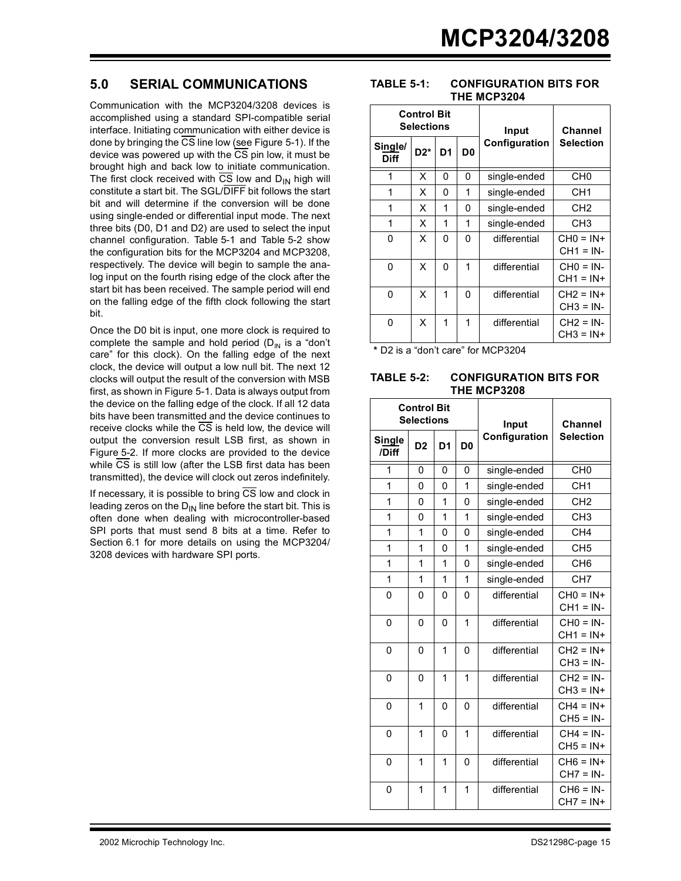## <span id="page-14-0"></span>**5.0 SERIAL COMMUNICATIONS**

Communication with the MCP3204/3208 devices is accomplished using a standard SPI-compatible serial interface. Initiating communication with either device is done by bringing the  $\overline{\text{CS}}$  line low (see [Figure 5-1\)](#page-15-0). If the device was powered up with the  $\overline{CS}$  pin low, it must be brought high and back low to initiate communication. The first clock received with  $\overline{CS}$  low and  $D_{IN}$  high will constitute a start bit. The SGL/DIFF bit follows the start bit and will determine if the conversion will be done using single-ended or differential input mode. The next three bits (D0, D1 and D2) are used to select the input channel configuration. [Table 5-1](#page-14-1) and [Table 5-2](#page-14-2) show the configuration bits for the MCP3204 and MCP3208, respectively. The device will begin to sample the analog input on the fourth rising edge of the clock after the start bit has been received. The sample period will end on the falling edge of the fifth clock following the start bit.

Once the D0 bit is input, one more clock is required to complete the sample and hold period  $(D_{IN}$  is a "don't care" for this clock). On the falling edge of the next clock, the device will output a low null bit. The next 12 clocks will output the result of the conversion with MSB first, as shown in [Figure 5-1.](#page-15-0) Data is always output from the device on the falling edge of the clock. If all 12 data bits have been transmitted and the device continues to receive clocks while the  $\overline{CS}$  is held low, the device will output the conversion result LSB first, as shown in [Figure 5-2.](#page-15-1) If more clocks are provided to the device while  $\overline{\text{CS}}$  is still low (after the LSB first data has been transmitted), the device will clock out zeros indefinitely.

<span id="page-14-1"></span>If necessary, it is possible to bring  $\overline{CS}$  low and clock in leading zeros on the  $D_{1N}$  line before the start bit. This is often done when dealing with microcontroller-based SPI ports that must send 8 bits at a time. Refer to [Section 6.1](#page-16-0) for more details on using the MCP3204/ 3208 devices with hardware SPI ports.

#### **TABLE 5-1: CONFIGURATION BITS FOR THE MCP3204**

|                 | Control Bit<br><b>Selections</b> |                |                   | Input         | <b>Channel</b>             |  |  |
|-----------------|----------------------------------|----------------|-------------------|---------------|----------------------------|--|--|
| Single/<br>Diff | $D2*$                            | D <sub>1</sub> | D0                | Configuration | <b>Selection</b>           |  |  |
| 1               | X                                | 0              | 0                 | single-ended  | CH0                        |  |  |
| 1               | x                                | 0              | 1                 | single-ended  | CH1                        |  |  |
| 1               | X                                | 1              | 0<br>single-ended |               | CH <sub>2</sub>            |  |  |
| 1               | X                                | 1              | 1                 | single-ended  | CH3                        |  |  |
| 0               | X                                | 0              | 0                 | differential  | $CHO = IN+$<br>$CH1 = IN-$ |  |  |
| 0               | X                                | 0              | 1                 | differential  | $CHO = IN$<br>$CH1 = IN+$  |  |  |
| 0               | X                                | 1              | O                 | differential  | $CH2 = IN+$<br>$CH3 = IN$  |  |  |
| 0               | X                                | 1              | 1                 | differential  | $CH2 = IN$<br>$CH3 = IN+$  |  |  |

<span id="page-14-2"></span>**\*** D2 is a "don't care" for MCP3204

#### **TABLE 5-2: CONFIGURATION BITS FOR THE MCP3208**

|                 | <b>Control Bit</b><br><b>Selections</b> |                |                | Input         | Channel                     |  |
|-----------------|-----------------------------------------|----------------|----------------|---------------|-----------------------------|--|
| Single<br>/Diff | D <sub>2</sub>                          | D <sub>1</sub> | D <sub>0</sub> | Configuration | <b>Selection</b>            |  |
| 1               | 0                                       | 0              | 0              | single-ended  | CH <sub>0</sub>             |  |
| 1               | 0                                       | 0              | 1              | single-ended  | CH <sub>1</sub>             |  |
| 1               | 0                                       | 1              | 0              | single-ended  | CH <sub>2</sub>             |  |
| 1               | $\Omega$                                | 1              | 1              | single-ended  | CH <sub>3</sub>             |  |
| 1               | 1                                       | 0              | 0              | single-ended  | CH <sub>4</sub>             |  |
| 1               | 1                                       | 0              | 1              | single-ended  | CH <sub>5</sub>             |  |
| 1               | 1                                       | 1              | 0              | single-ended  | CH <sub>6</sub>             |  |
| 1               | 1                                       | 1              | 1              | single-ended  | CH <sub>7</sub>             |  |
| 0               | 0                                       | 0              | 0              | differential  | $CH0 = IN+$<br>$CH1 = IN-$  |  |
| 0               | 0                                       | 0              | 1              | differential  | $CHO = IN -$<br>$CH1 = IN+$ |  |
| $\Omega$        | $\Omega$                                | 1              | $\Omega$       | differential  | $CH2 = IN+$<br>$CH3 = IN-$  |  |
| 0               | $\Omega$                                | 1              | 1              | differential  | $CH2 = IN -$<br>$CH3 = IN+$ |  |
| 0               | 1                                       | 0              | 0              | differential  | $CH4 = IN+$<br>$CH5 = IN-$  |  |
| $\Omega$        | 1                                       | $\Omega$       | 1              | differential  | $CH4 = IN-$<br>$CH5 = IN+$  |  |
| 0               | 1                                       | 1              | 0              | differential  | $CH6 = IN+$<br>$CH7 = IN-$  |  |
| 0               | 1                                       | 1              | 1              | differential  | $CH6 = IN-$<br>$CH7 = IN+$  |  |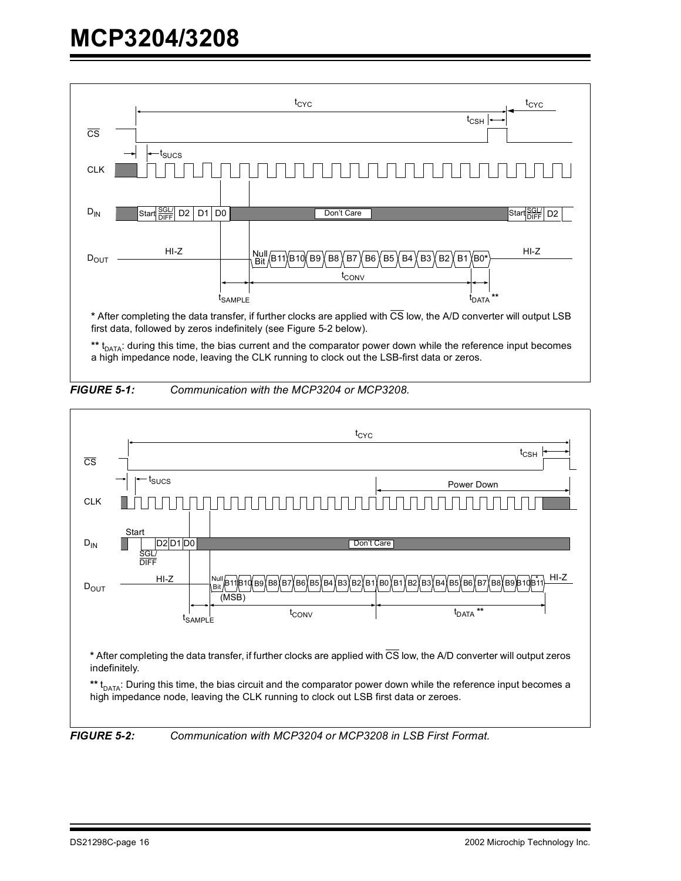

\*\* t<sub>DATA</sub>: during this time, the bias current and the comparator power down while the reference input becomes a high impedance node, leaving the CLK running to clock out the LSB-first data or zeros.

<span id="page-15-0"></span>



<span id="page-15-1"></span>*FIGURE 5-2: Communication with MCP3204 or MCP3208 in LSB First Format.*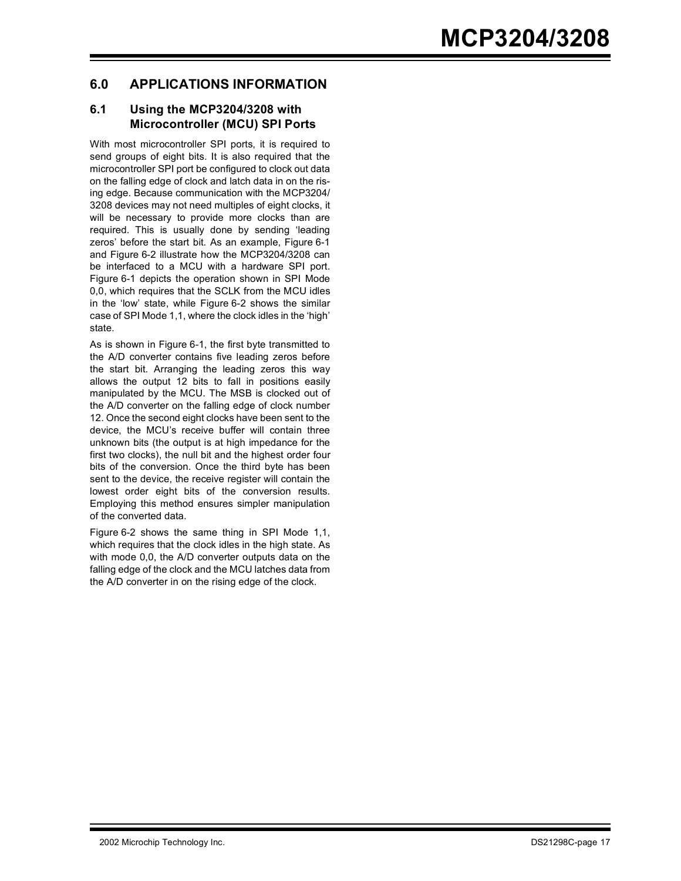## **6.0 APPLICATIONS INFORMATION**

#### <span id="page-16-0"></span>**6.1 Using the MCP3204/3208 with Microcontroller (MCU) SPI Ports**

With most microcontroller SPI ports, it is required to send groups of eight bits. It is also required that the microcontroller SPI port be configured to clock out data on the falling edge of clock and latch data in on the rising edge. Because communication with the MCP3204/ 3208 devices may not need multiples of eight clocks, it will be necessary to provide more clocks than are required. This is usually done by sending 'leading zeros' before the start bit. As an example, [Figure 6-1](#page-16-1) and [Figure 6-2](#page-17-1) illustrate how the MCP3204/3208 can be interfaced to a MCU with a hardware SPI port. [Figure 6-1](#page-16-1) depicts the operation shown in SPI Mode 0,0, which requires that the SCLK from the MCU idles in the 'low' state, while [Figure 6-2](#page-17-1) shows the similar case of SPI Mode 1,1, where the clock idles in the 'high' state.

As is shown in Figure 6-1, the first byte transmitted to the A/D converter contains five leading zeros before the start bit. Arranging the leading zeros this way allows the output 12 bits to fall in positions easily manipulated by the MCU. The MSB is clocked out of the A/D converter on the falling edge of clock number 12. Once the second eight clocks have been sent to the device, the MCU's receive buffer will contain three unknown bits (the output is at high impedance for the first two clocks), the null bit and the highest order four bits of the conversion. Once the third byte has been sent to the device, the receive register will contain the lowest order eight bits of the conversion results. Employing this method ensures simpler manipulation of the converted data.

<span id="page-16-1"></span>Figure 6-2 shows the same thing in SPI Mode 1,1, which requires that the clock idles in the high state. As with mode 0,0, the A/D converter outputs data on the falling edge of the clock and the MCU latches data from the A/D converter in on the rising edge of the clock.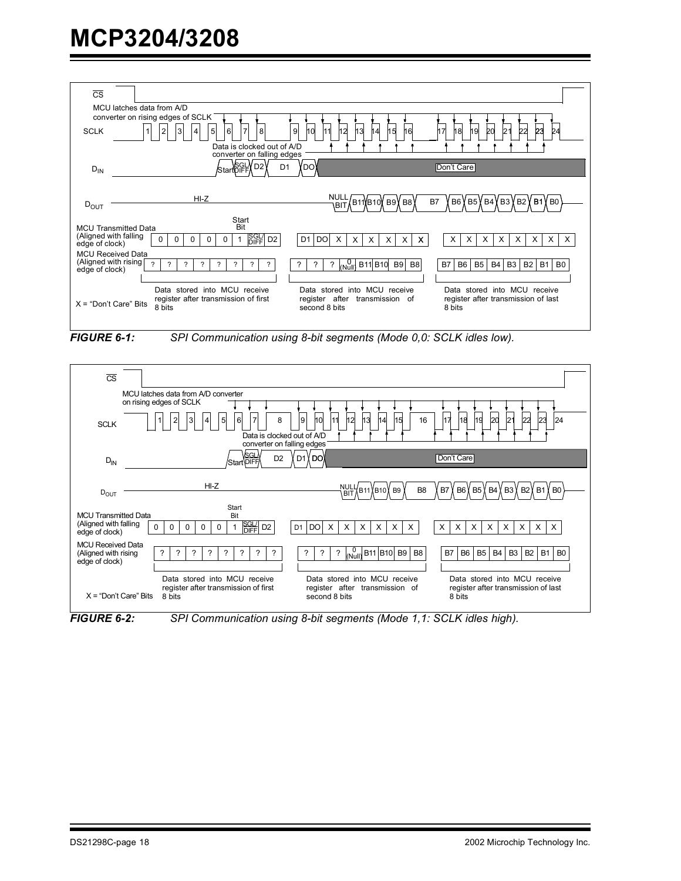| $\overline{\text{CS}}$                  | MCU latches data from A/D                                                                                                                            |                                                                                                  |                                                                                                                   |
|-----------------------------------------|------------------------------------------------------------------------------------------------------------------------------------------------------|--------------------------------------------------------------------------------------------------|-------------------------------------------------------------------------------------------------------------------|
|                                         | converter on rising edges of SCLK                                                                                                                    |                                                                                                  |                                                                                                                   |
|                                         |                                                                                                                                                      |                                                                                                  |                                                                                                                   |
| <b>SCLK</b>                             | $\overline{7}$<br>5<br>6<br>8                                                                                                                        | 10<br>9<br>11<br>15<br>12<br>13<br>4<br>16                                                       | 23<br>18<br>19<br>20                                                                                              |
|                                         | Data is clocked out of A/D                                                                                                                           |                                                                                                  |                                                                                                                   |
|                                         | converter on falling edges                                                                                                                           |                                                                                                  |                                                                                                                   |
| $D_{IN}$                                | Start DIFF<br>D <sub>2</sub><br>D <sub>1</sub>                                                                                                       | YDOY                                                                                             | Don't Care                                                                                                        |
|                                         |                                                                                                                                                      |                                                                                                  |                                                                                                                   |
|                                         |                                                                                                                                                      |                                                                                                  |                                                                                                                   |
|                                         | $HI-Z$                                                                                                                                               | NULI                                                                                             | B6 YB5 YB4 YB3 YB2 YB1 YB0<br>B7                                                                                  |
| $D_{OUT}$                               |                                                                                                                                                      | B11)(B10)(B9)(B8))<br><b>IBIT</b>                                                                |                                                                                                                   |
|                                         | Start                                                                                                                                                |                                                                                                  |                                                                                                                   |
| <b>MCU Transmitted Data</b>             | Bit                                                                                                                                                  |                                                                                                  |                                                                                                                   |
| (Aligned with falling<br>edge of clock) | SGL/<br>DIFF<br>D <sub>2</sub><br>$\Omega$<br>$\Omega$<br>$\mathbf 0$<br>0<br>0<br>$\mathbf{1}$                                                      | $D1$ DO<br>$\times$<br>$\times$<br>$\times$<br>$\times$<br>$\times$<br>$\boldsymbol{\mathsf{x}}$ | X<br>Χ<br>X<br>X<br>X<br>X<br>X<br>X                                                                              |
| <b>MCU Received Data</b>                |                                                                                                                                                      |                                                                                                  |                                                                                                                   |
| (Aligned with rising                    | $\gamma$<br>$\gamma$<br>$\overline{?}$<br>$\overline{?}$<br>$\overline{?}$<br>$\overline{\phantom{a}}$<br>$\overline{?}$<br>$\overline{\phantom{a}}$ | $_{(Null)}^{0}$ B11 B10 B9<br>?<br>$\overline{?}$<br>B <sub>8</sub><br>7                         | B <sub>5</sub><br>B4<br>B <sub>3</sub><br><b>B2</b><br><b>B1</b><br><b>B7</b><br>B <sub>6</sub><br>B <sub>0</sub> |
| edge of clock)                          |                                                                                                                                                      |                                                                                                  |                                                                                                                   |
|                                         |                                                                                                                                                      |                                                                                                  |                                                                                                                   |
|                                         | Data stored into MCU receive                                                                                                                         | Data stored into MCU receive                                                                     | Data stored into MCU receive                                                                                      |
| $X = "Don't Care" Bits$                 | register after transmission of first<br>8 bits                                                                                                       | register after transmission of<br>second 8 bits                                                  | register after transmission of last<br>8 bits                                                                     |
|                                         |                                                                                                                                                      |                                                                                                  |                                                                                                                   |
|                                         |                                                                                                                                                      |                                                                                                  |                                                                                                                   |
| <b>FIGURE 6-1:</b>                      |                                                                                                                                                      | SPI Communication using 8-bit segments (Mode 0,0: SCLK idles low).                               |                                                                                                                   |
|                                         |                                                                                                                                                      |                                                                                                  |                                                                                                                   |
|                                         |                                                                                                                                                      |                                                                                                  |                                                                                                                   |
|                                         |                                                                                                                                                      |                                                                                                  |                                                                                                                   |
| $\overline{\text{CS}}$                  |                                                                                                                                                      |                                                                                                  |                                                                                                                   |
|                                         | MCU latches data from A/D converter                                                                                                                  |                                                                                                  |                                                                                                                   |
|                                         | on rising edges of SCLK                                                                                                                              |                                                                                                  |                                                                                                                   |
|                                         |                                                                                                                                                      |                                                                                                  |                                                                                                                   |
| <b>COLK</b>                             | 5<br>$\mathbf{1}$<br>$\overline{2}$<br>$\overline{3}$<br>6<br>8<br>$\overline{4}$                                                                    | 11<br>10<br>9<br>13<br>15<br>12<br>14<br>16                                                      | 23<br>22<br>17<br>21<br>24<br>18<br>19<br>20                                                                      |

<span id="page-17-1"></span><span id="page-17-0"></span>*FIGURE 6-1: SPI Communication using 8-bit segments (Mode 0,0: SCLK idles low).*





*FIGURE 6-2: SPI Communication using 8-bit segments (Mode 1,1: SCLK idles high).*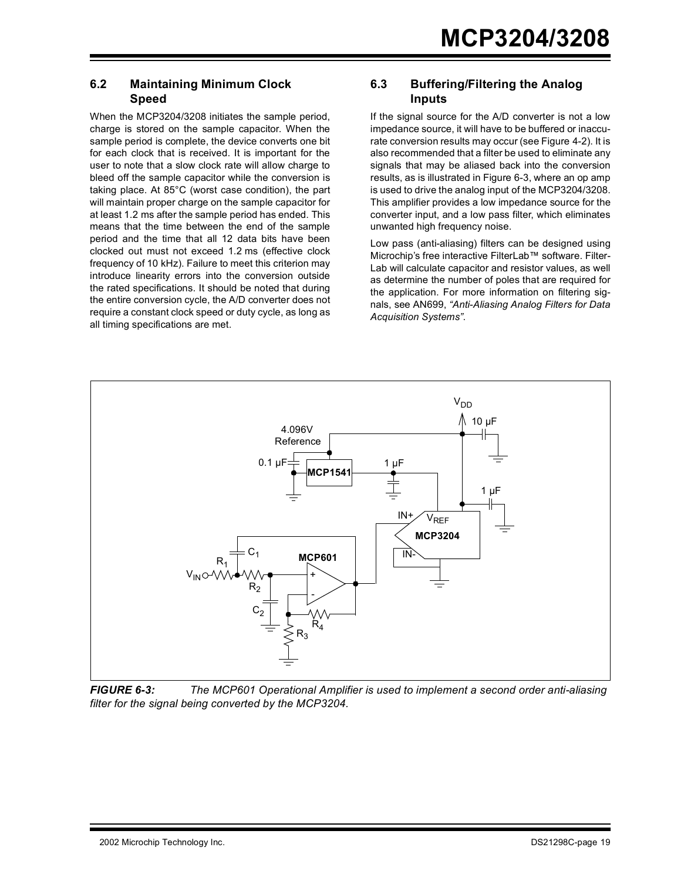#### **6.2 Maintaining Minimum Clock Speed**

When the MCP3204/3208 initiates the sample period, charge is stored on the sample capacitor. When the sample period is complete, the device converts one bit for each clock that is received. It is important for the user to note that a slow clock rate will allow charge to bleed off the sample capacitor while the conversion is taking place. At 85°C (worst case condition), the part will maintain proper charge on the sample capacitor for at least 1.2 ms after the sample period has ended. This means that the time between the end of the sample period and the time that all 12 data bits have been clocked out must not exceed 1.2 ms (effective clock frequency of 10 kHz). Failure to meet this criterion may introduce linearity errors into the conversion outside the rated specifications. It should be noted that during the entire conversion cycle, the A/D converter does not require a constant clock speed or duty cycle, as long as all timing specifications are met.

#### **6.3 Buffering/Filtering the Analog Inputs**

If the signal source for the A/D converter is not a low impedance source, it will have to be buffered or inaccurate conversion results may occur (see Figure 4-2). It is also recommended that a filter be used to eliminate any signals that may be aliased back into the conversion results, as is illustrated in Figure 6-3, where an op amp is used to drive the analog input of the MCP3204/3208. This amplifier provides a low impedance source for the converter input, and a low pass filter, which eliminates unwanted high frequency noise.

Low pass (anti-aliasing) filters can be designed using Microchip's free interactive FilterLab™ software. Filter-Lab will calculate capacitor and resistor values, as well as determine the number of poles that are required for the application. For more information on filtering signals, see AN699, *"Anti-Aliasing Analog Filters for Data Acquisition Systems"*.



*FIGURE 6-3: The MCP601 Operational Amplifier is used to implement a second order anti-aliasing filter for the signal being converted by the MCP3204.*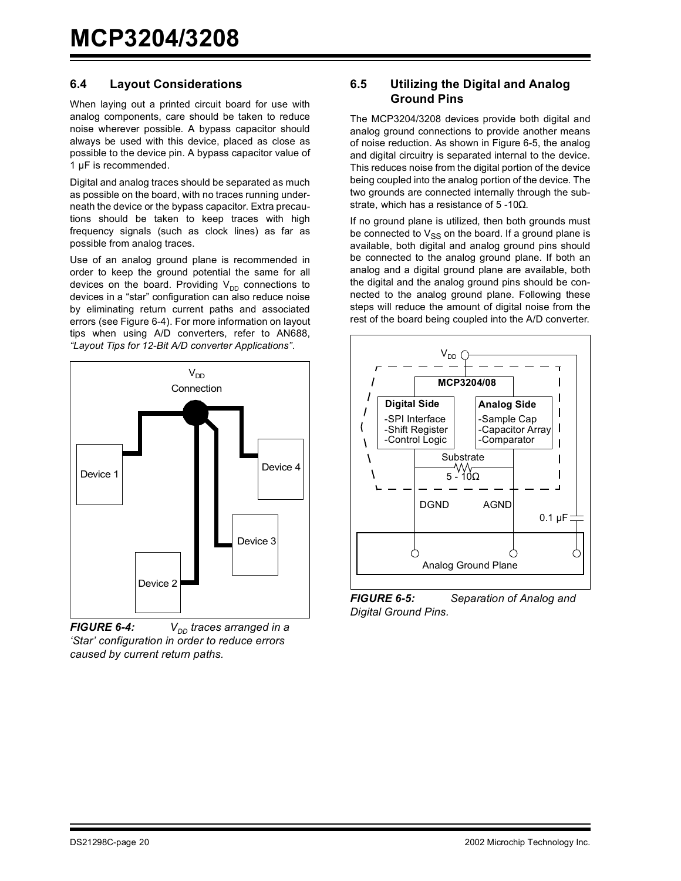#### **6.4 Layout Considerations**

When laying out a printed circuit board for use with analog components, care should be taken to reduce noise wherever possible. A bypass capacitor should always be used with this device, placed as close as possible to the device pin. A bypass capacitor value of 1 µF is recommended.

Digital and analog traces should be separated as much as possible on the board, with no traces running underneath the device or the bypass capacitor. Extra precautions should be taken to keep traces with high frequency signals (such as clock lines) as far as possible from analog traces.

Use of an analog ground plane is recommended in order to keep the ground potential the same for all devices on the board. Providing  $V_{DD}$  connections to devices in a "star" configuration can also reduce noise by eliminating return current paths and associated errors (see [Figure 6-4\)](#page-19-0). For more information on layout tips when using A/D converters, refer to AN688, *"Layout Tips for 12-Bit A/D converter Applications"*.



<span id="page-19-0"></span>*FIGURE 6-4:*  $V_{DD}$  traces arranged in a *'Star' configuration in order to reduce errors caused by current return paths.*

#### **6.5 Utilizing the Digital and Analog Ground Pins**

The MCP3204/3208 devices provide both digital and analog ground connections to provide another means of noise reduction. As shown in [Figure 6-5,](#page-19-1) the analog and digital circuitry is separated internal to the device. This reduces noise from the digital portion of the device being coupled into the analog portion of the device. The two grounds are connected internally through the substrate, which has a resistance of 5 -10 $\Omega$ .

If no ground plane is utilized, then both grounds must be connected to  $V_{SS}$  on the board. If a ground plane is available, both digital and analog ground pins should be connected to the analog ground plane. If both an analog and a digital ground plane are available, both the digital and the analog ground pins should be connected to the analog ground plane. Following these steps will reduce the amount of digital noise from the rest of the board being coupled into the A/D converter.



<span id="page-19-1"></span>*FIGURE 6-5: Separation of Analog and Digital Ground Pins.*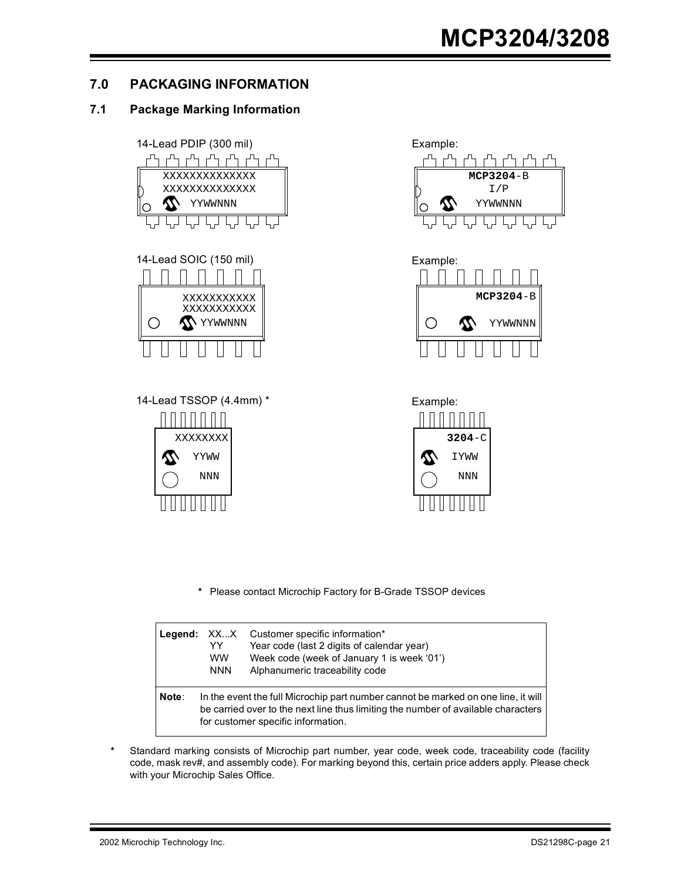## **7.0 PACKAGING INFORMATION**

### **7.1 Package Marking Information**



**\*** Please contact Microchip Factory for B-Grade TSSOP devices

|       | Legend: XXX<br>YY<br><b>WW</b><br><b>NNN</b> | Customer specific information*<br>Year code (last 2 digits of calendar year)<br>Week code (week of January 1 is week '01')<br>Alphanumeric traceability code                                                 |
|-------|----------------------------------------------|--------------------------------------------------------------------------------------------------------------------------------------------------------------------------------------------------------------|
| Note: |                                              | In the event the full Microchip part number cannot be marked on one line, it will<br>be carried over to the next line thus limiting the number of available characters<br>for customer specific information. |

**\*** Standard marking consists of Microchip part number, year code, week code, traceability code (facility code, mask rev#, and assembly code). For marking beyond this, certain price adders apply. Please check with your Microchip Sales Office.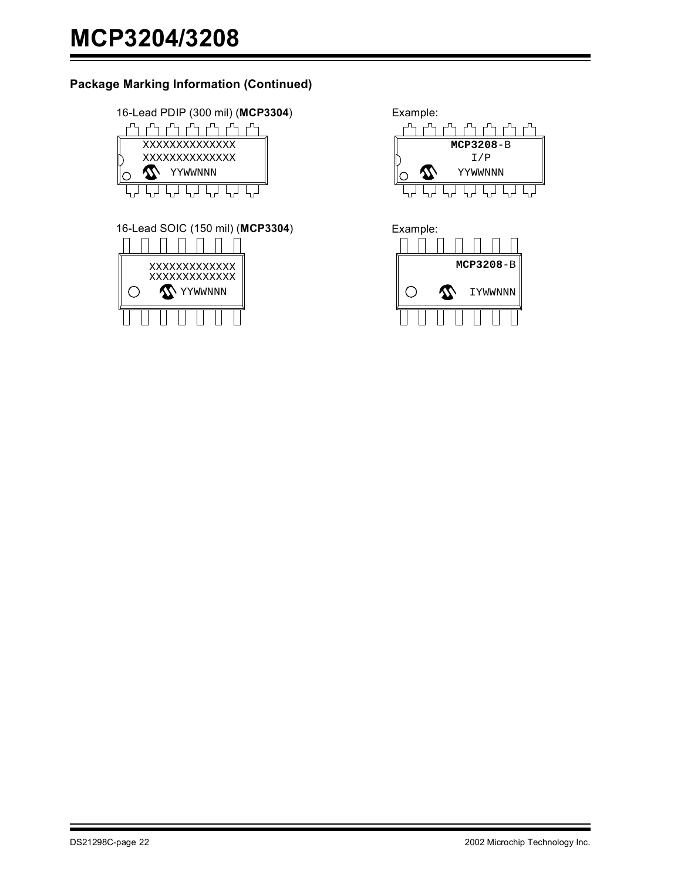### **Package Marking Information (Continued)**

16-Lead PDIP (300 mil) (**MCP3304**) Example:



16-Lead SOIC (150 mil) (**MCP3304**) Example:



┎Ⴅ╻┍┺ **MCP3208**-B I/P YYWWNNN ╔ ᄓ <del>ᢏ</del>ᢖ᠊ᢏᢖ᠊ᢏᢖ

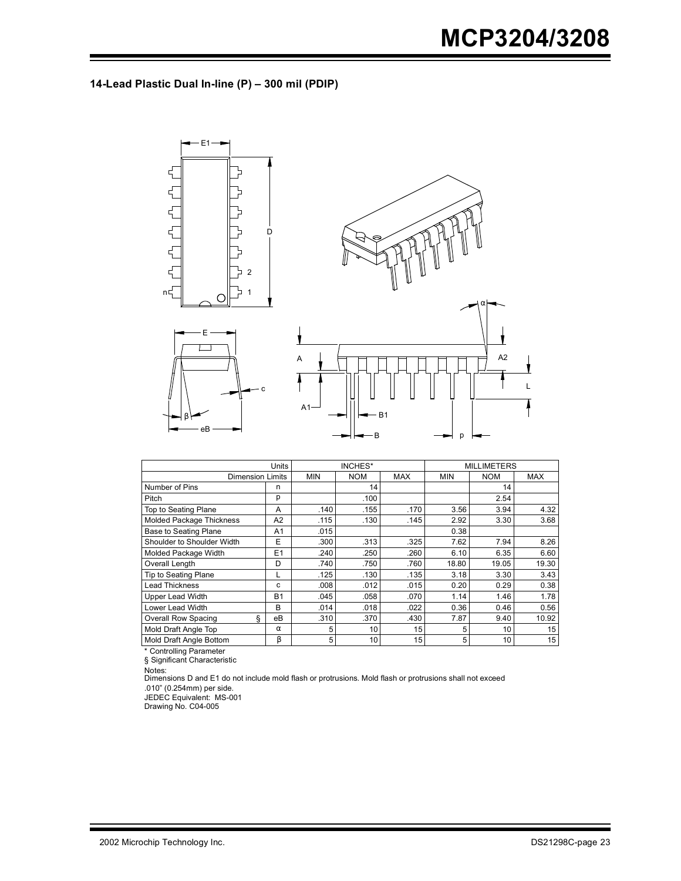### **14-Lead Plastic Dual In-line (P) – 300 mil (PDIP)**



|                                 | Units     | INCHES*    |            |            | <b>MILLIMETERS</b> |            |            |
|---------------------------------|-----------|------------|------------|------------|--------------------|------------|------------|
| <b>Dimension Limits</b>         |           | <b>MIN</b> | <b>NOM</b> | <b>MAX</b> | <b>MIN</b>         | <b>NOM</b> | <b>MAX</b> |
| Number of Pins                  | n         |            | 14         |            |                    | 14         |            |
| Pitch                           | р         |            | .100       |            |                    | 2.54       |            |
| Top to Seating Plane            | A         | .140       | .155       | .170       | 3.56               | 3.94       | 4.32       |
| <b>Molded Package Thickness</b> | A2        | .115       | .130       | .145       | 2.92               | 3.30       | 3.68       |
| <b>Base to Seating Plane</b>    | A1        | .015       |            |            | 0.38               |            |            |
| Shoulder to Shoulder Width      | E         | .300       | .313       | .325       | 7.62               | 7.94       | 8.26       |
| Molded Package Width            | E1        | .240       | .250       | .260       | 6.10               | 6.35       | 6.60       |
| Overall Length                  | D         | .740       | .750       | .760       | 18.80              | 19.05      | 19.30      |
| Tip to Seating Plane            | L         | .125       | .130       | .135       | 3.18               | 3.30       | 3.43       |
| <b>Lead Thickness</b>           | c         | .008       | .012       | .015       | 0.20               | 0.29       | 0.38       |
| <b>Upper Lead Width</b>         | <b>B1</b> | .045       | .058       | .070       | 1.14               | 1.46       | 1.78       |
| Lower Lead Width                | B         | .014       | .018       | .022       | 0.36               | 0.46       | 0.56       |
| ş<br><b>Overall Row Spacing</b> | eB        | .310       | .370       | .430       | 7.87               | 9.40       | 10.92      |
| Mold Draft Angle Top            | $\alpha$  | 5          | 10         | 15         | 5                  | 10         | 15         |
| Mold Draft Angle Bottom         | β         | 5          | 10         | 15         | 5                  | 10         | 15         |

\* Controlling Parameter

§ Significant Characteristic

Notes: Dimensions D and E1 do not include mold flash or protrusions. Mold flash or protrusions shall not exceed

.010" (0.254mm) per side.

JEDEC Equivalent: MS-001 Drawing No. C04-005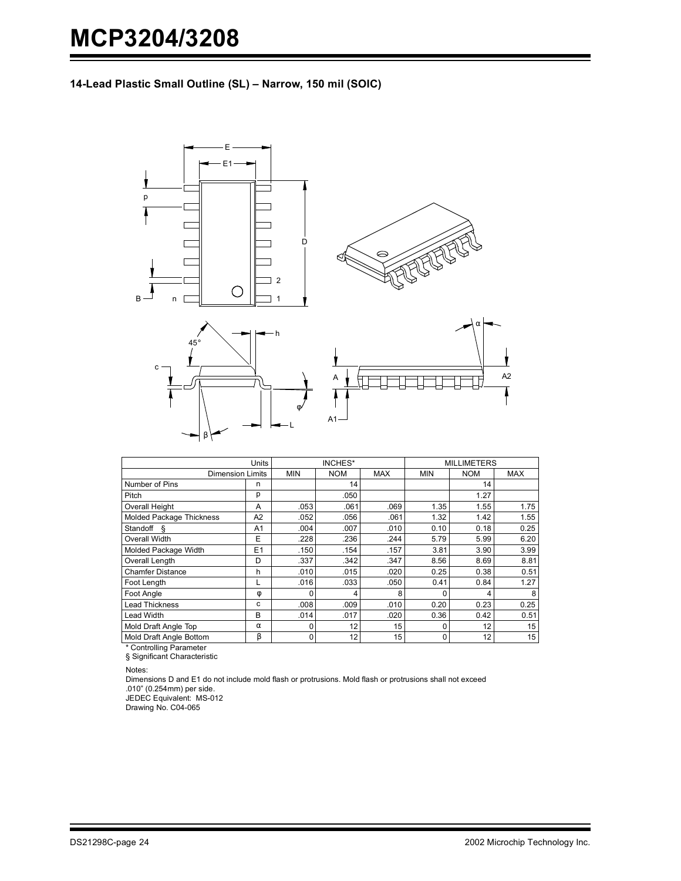**14-Lead Plastic Small Outline (SL) – Narrow, 150 mil (SOIC)**



|                                           | <b>Units</b>   |            | INCHES*    |            |            | <b>MILLIMETERS</b> |            |
|-------------------------------------------|----------------|------------|------------|------------|------------|--------------------|------------|
| <b>Dimension Limits</b>                   |                | <b>MIN</b> | <b>NOM</b> | <b>MAX</b> | <b>MIN</b> | <b>NOM</b>         | <b>MAX</b> |
| Number of Pins                            | n              |            | 14         |            |            | 14                 |            |
| Pitch                                     | р              |            | .050       |            |            | 1.27               |            |
| <b>Overall Height</b>                     | A              | .053       | .061       | .069       | 1.35       | 1.55               | 1.75       |
| Molded Package Thickness                  | A2             | .052       | .056       | .061       | 1.32       | 1.42               | 1.55       |
| Standoff §                                | A <sub>1</sub> | .004       | .007       | .010       | 0.10       | 0.18               | 0.25       |
| Overall Width                             | E              | .228       | .236       | .244       | 5.79       | 5.99               | 6.20       |
| Molded Package Width                      | E1             | .150       | .154       | .157       | 3.81       | 3.90               | 3.99       |
| Overall Length                            | D              | .337       | .342       | .347       | 8.56       | 8.69               | 8.81       |
| <b>Chamfer Distance</b>                   | h              | .010       | .015       | .020       | 0.25       | 0.38               | 0.51       |
| Foot Length                               | L              | .016       | .033       | .050       | 0.41       | 0.84               | 1.27       |
| Foot Angle                                | Φ              |            |            | 8          |            |                    | 8          |
| <b>Lead Thickness</b>                     | c              | .008       | .009       | .010       | 0.20       | 0.23               | 0.25       |
| Lead Width                                | B              | .014       | .017       | .020       | 0.36       | 0.42               | 0.51       |
| Mold Draft Angle Top                      | $\alpha$       | 0          | 12         | 15         |            | 12                 | 15         |
| Mold Draft Angle Bottom                   | β              | 0          | 12         | 15         | 0          | 12                 | 15         |
| $\sim$ $\sim$ $\sim$ $\sim$ $\sim$ $\sim$ |                |            |            |            |            |                    |            |

\* Controlling Parameter § Significant Characteristic

Notes:

Dimensions D and E1 do not include mold flash or protrusions. Mold flash or protrusions shall not exceed .010" (0.254mm) per side.

JEDEC Equivalent: MS-012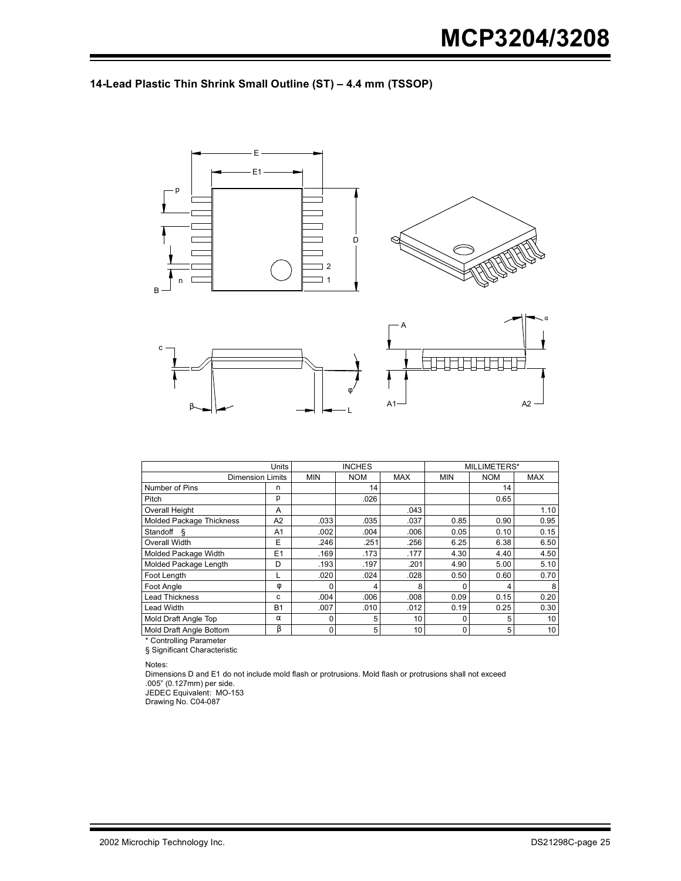



|                          | <b>Units</b>   |            | <b>INCHES</b> |            |            | MILLIMETERS* |            |
|--------------------------|----------------|------------|---------------|------------|------------|--------------|------------|
| <b>Dimension Limits</b>  |                | <b>MIN</b> | <b>NOM</b>    | <b>MAX</b> | <b>MIN</b> | <b>NOM</b>   | <b>MAX</b> |
| Number of Pins           | n              |            | 14            |            |            | 14           |            |
| Pitch                    | р              |            | .026          |            |            | 0.65         |            |
| <b>Overall Height</b>    | A              |            |               | .043       |            |              | 1.10       |
| Molded Package Thickness | A <sub>2</sub> | .033       | .035          | .037       | 0.85       | 0.90         | 0.95       |
| Standoff &               | A <sub>1</sub> | .002       | .004          | .006       | 0.05       | 0.10         | 0.15       |
| Overall Width            | E              | .246       | .251          | .256       | 6.25       | 6.38         | 6.50       |
| Molded Package Width     | E1             | .169       | .173          | .177       | 4.30       | 4.40         | 4.50       |
| Molded Package Length    | D              | .193       | .197          | .201       | 4.90       | 5.00         | 5.10       |
| Foot Length              |                | .020       | .024          | .028       | 0.50       | 0.60         | 0.70       |
| Foot Angle               | φ              |            | 4             | 8          |            | Λ            | 8          |
| <b>Lead Thickness</b>    | c              | .004       | .006          | .008       | 0.09       | 0.15         | 0.20       |
| Lead Width               | <b>B1</b>      | .007       | .010          | .012       | 0.19       | 0.25         | 0.30       |
| Mold Draft Angle Top     | $\alpha$       | 0          | 5             | 10         | 0          | 5            | 10         |
| Mold Draft Angle Bottom  | β              | 0          | 5             | 10         | 0          | 5            | 10         |

\* Controlling Parameter

§ Significant Characteristic

Notes:

Dimensions D and E1 do not include mold flash or protrusions. Mold flash or protrusions shall not exceed .005" (0.127mm) per side. JEDEC Equivalent: MO-153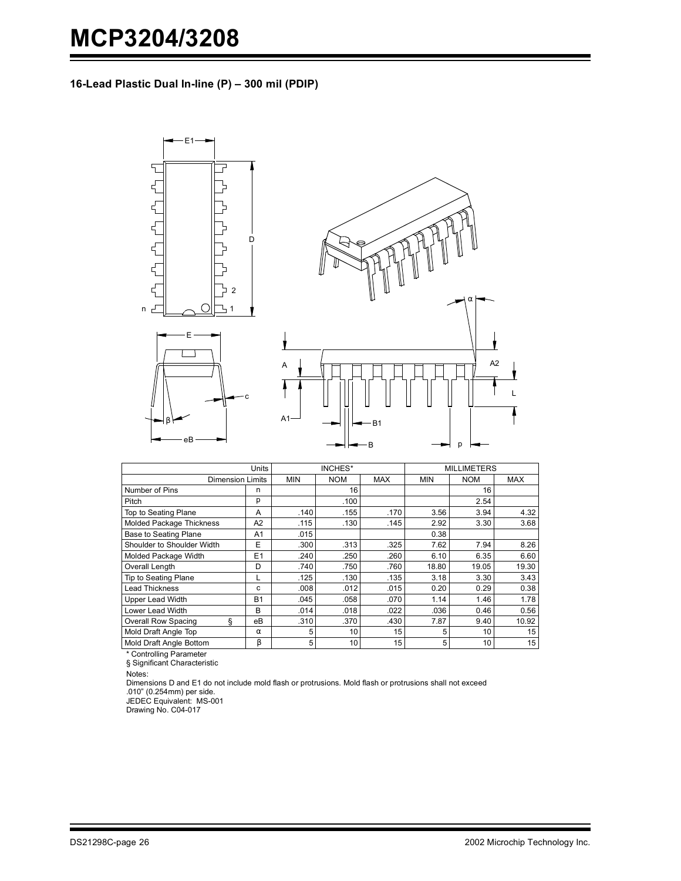**16-Lead Plastic Dual In-line (P) – 300 mil (PDIP)**



|                                 | <b>Units</b> |                | INCHES*         |            |            | <b>MILLIMETERS</b> |            |
|---------------------------------|--------------|----------------|-----------------|------------|------------|--------------------|------------|
| <b>Dimension Limits</b>         |              | <b>MIN</b>     | <b>NOM</b>      | <b>MAX</b> | <b>MIN</b> | <b>NOM</b>         | <b>MAX</b> |
| Number of Pins                  | n            |                | 16              |            |            | 16                 |            |
| Pitch                           | р            |                | .100            |            |            | 2.54               |            |
| Top to Seating Plane            | A            | .140           | .155            | .170       | 3.56       | 3.94               | 4.32       |
| Molded Package Thickness        | A2           | .115           | .130            | .145       | 2.92       | 3.30               | 3.68       |
| <b>Base to Seating Plane</b>    | A1           | .015           |                 |            | 0.38       |                    |            |
| Shoulder to Shoulder Width      | E            | .300           | .313            | .325       | 7.62       | 7.94               | 8.26       |
| Molded Package Width            | E1           | .240           | .250            | .260       | 6.10       | 6.35               | 6.60       |
| Overall Length                  | D            | .740           | .750            | .760       | 18.80      | 19.05              | 19.30      |
| Tip to Seating Plane            | L            | .125           | .130            | .135       | 3.18       | 3.30               | 3.43       |
| <b>Lead Thickness</b>           | c            | .008           | .012            | .015       | 0.20       | 0.29               | 0.38       |
| <b>Upper Lead Width</b>         | <b>B1</b>    | .045           | .058            | .070       | 1.14       | 1.46               | 1.78       |
| Lower Lead Width                | B            | .014           | .018            | .022       | .036       | 0.46               | 0.56       |
| <b>Overall Row Spacing</b><br>ş | eВ           | .310           | .370            | .430       | 7.87       | 9.40               | 10.92      |
| Mold Draft Angle Top            | $\alpha$     | 5              | 10              | 15         | 5          | 10                 | 15         |
| Mold Draft Angle Bottom         | β            | 5 <sup>1</sup> | 10 <sup>1</sup> | 15         | 5          | 10                 | 15         |

\* Controlling Parameter

§ Significant Characteristic

Notes:

Dimensions D and E1 do not include mold flash or protrusions. Mold flash or protrusions shall not exceed .010" (0.254mm) per side.

JEDEC Equivalent: MS-001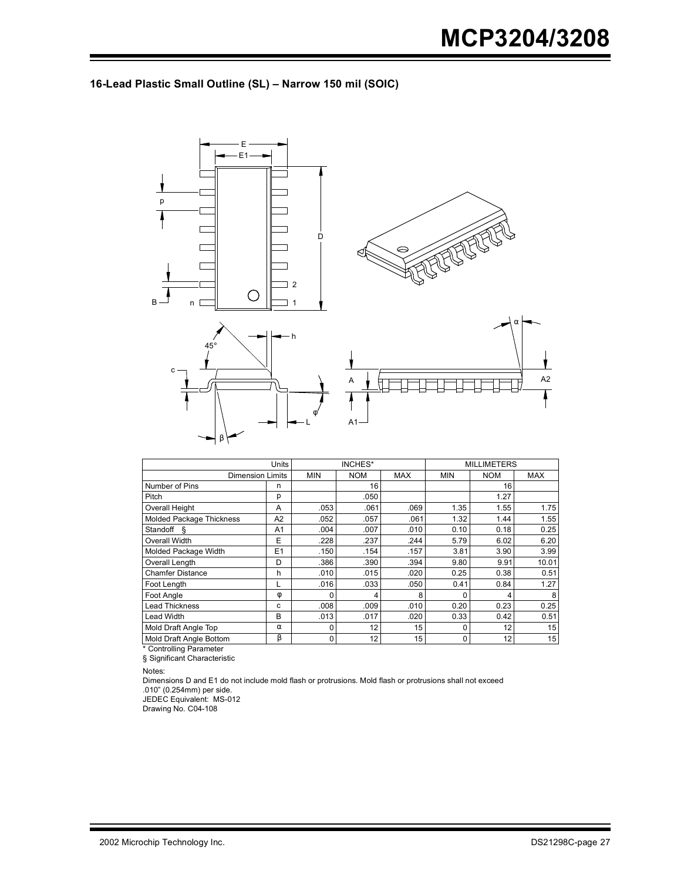### **16-Lead Plastic Small Outline (SL) – Narrow 150 mil (SOIC)**



|                          | Units          | INCHES*    |            |            | <b>MILLIMETERS</b> |            |            |
|--------------------------|----------------|------------|------------|------------|--------------------|------------|------------|
| <b>Dimension Limits</b>  |                | <b>MIN</b> | <b>NOM</b> | <b>MAX</b> | <b>MIN</b>         | <b>NOM</b> | <b>MAX</b> |
| Number of Pins           | n              |            | 16         |            |                    | 16         |            |
| Pitch                    | р              |            | .050       |            |                    | 1.27       |            |
| Overall Height           | A              | .053       | .061       | .069       | 1.35               | 1.55       | 1.75       |
| Molded Package Thickness | A2             | .052       | .057       | .061       | 1.32               | 1.44       | 1.55       |
| Standoff &               | A <sub>1</sub> | .004       | .007       | .010       | 0.10               | 0.18       | 0.25       |
| Overall Width            | E              | .228       | .237       | .244       | 5.79               | 6.02       | 6.20       |
| Molded Package Width     | E1             | .150       | .154       | .157       | 3.81               | 3.90       | 3.99       |
| Overall Length           | D              | .386       | .390       | .394       | 9.80               | 9.91       | 10.01      |
| <b>Chamfer Distance</b>  | h              | .010       | .015       | .020       | 0.25               | 0.38       | 0.51       |
| Foot Lenath              | L              | .016       | .033       | .050       | 0.41               | 0.84       | 1.27       |
| Foot Angle               | φ              | 0          | 4          | 8          | 0                  | 4          | 8          |
| Lead Thickness           | c              | .008       | .009       | .010       | 0.20               | 0.23       | 0.25       |
| Lead Width               | B              | .013       | .017       | .020       | 0.33               | 0.42       | 0.51       |
| Mold Draft Angle Top     | $\alpha$       | 0          | 12         | 15         | 0                  | 12         | 15         |
| Mold Draft Angle Bottom  | β              | 0          | 12         | 15         | 0                  | 12         | 15         |

\* Controlling Parameter § Significant Characteristic

Notes:

Dimensions D and E1 do not include mold flash or protrusions. Mold flash or protrusions shall not exceed .010" (0.254mm) per side.

JEDEC Equivalent: MS-012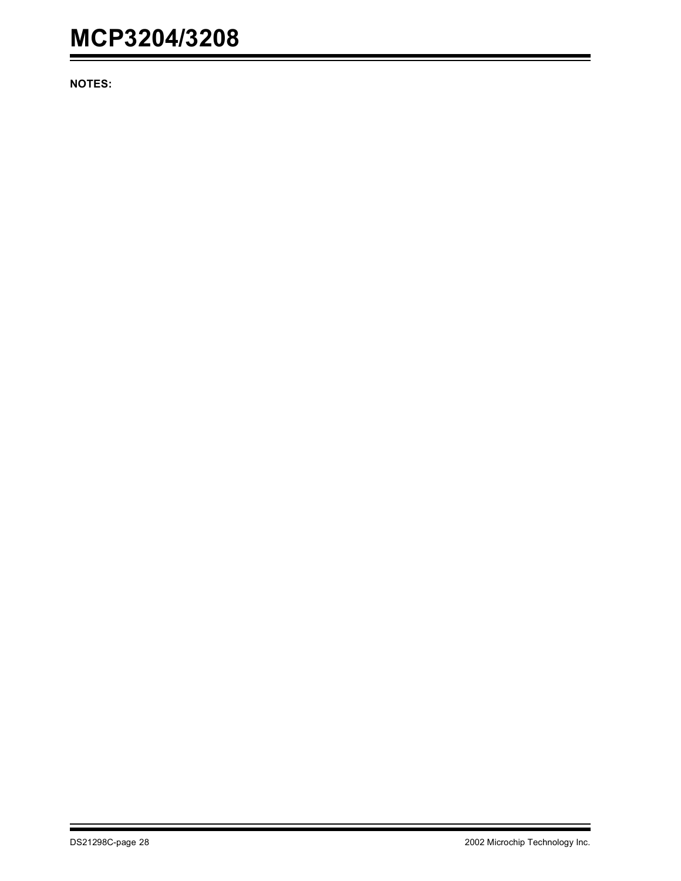**NOTES:**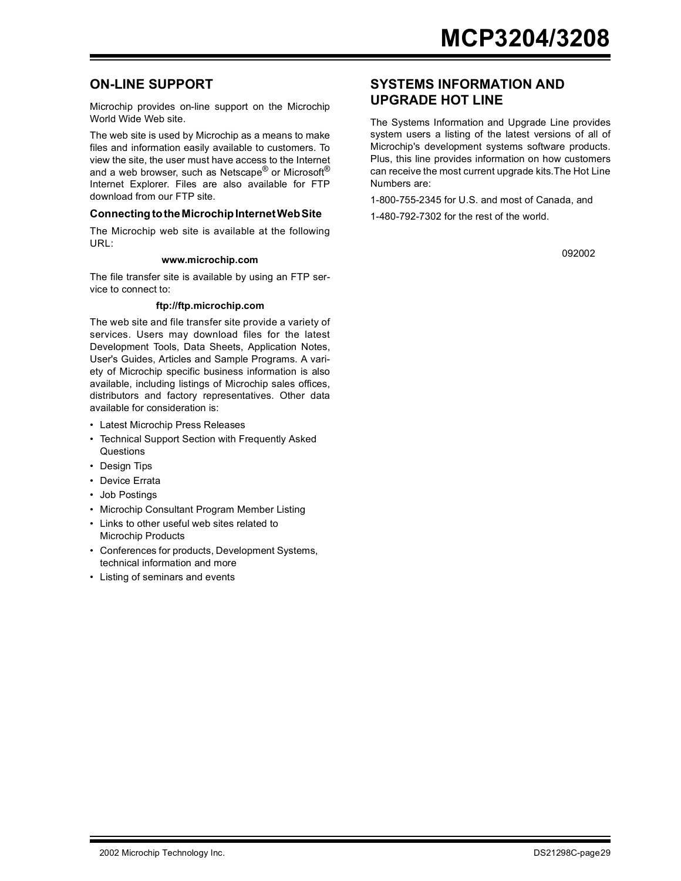### **ON-LINE SUPPORT**

Microchip provides on-line support on the Microchip World Wide Web site.

The web site is used by Microchip as a means to make files and information easily available to customers. To view the site, the user must have access to the Internet and a web browser, such as Netscape<sup>®</sup> or Microsoft<sup>®</sup> Internet Explorer. Files are also available for FTP download from our FTP site.

#### **Connecting to the Microchip Internet Web Site**

The Microchip web site is available at the following URL:

#### **www.microchip.com**

The file transfer site is available by using an FTP service to connect to:

#### **ftp://ftp.microchip.com**

The web site and file transfer site provide a variety of services. Users may download files for the latest Development Tools, Data Sheets, Application Notes, User's Guides, Articles and Sample Programs. A variety of Microchip specific business information is also available, including listings of Microchip sales offices, distributors and factory representatives. Other data available for consideration is:

- Latest Microchip Press Releases
- Technical Support Section with Frequently Asked **Questions**
- Design Tips
- Device Errata
- Job Postings
- Microchip Consultant Program Member Listing
- Links to other useful web sites related to Microchip Products
- Conferences for products, Development Systems, technical information and more
- Listing of seminars and events

### **SYSTEMS INFORMATION AND UPGRADE HOT LINE**

The Systems Information and Upgrade Line provides system users a listing of the latest versions of all of Microchip's development systems software products. Plus, this line provides information on how customers can receive the most current upgrade kits.The Hot Line Numbers are:

1-800-755-2345 for U.S. and most of Canada, and

1-480-792-7302 for the rest of the world.

092002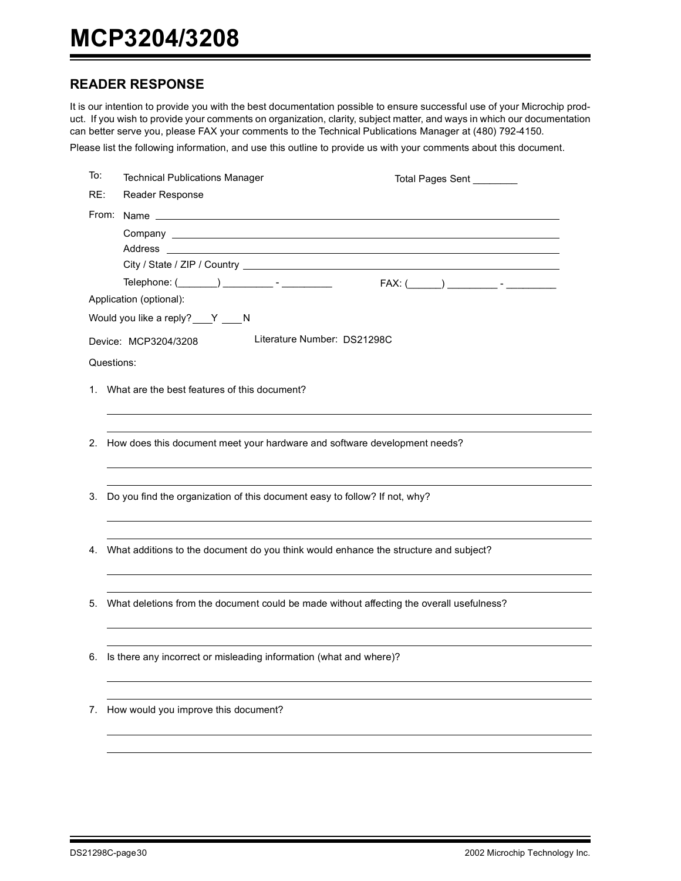## **READER RESPONSE**

It is our intention to provide you with the best documentation possible to ensure successful use of your Microchip product. If you wish to provide your comments on organization, clarity, subject matter, and ways in which our documentation can better serve you, please FAX your comments to the Technical Publications Manager at (480) 792-4150.

Please list the following information, and use this outline to provide us with your comments about this document.

| To: | <b>Technical Publications Manager</b>                                         | Total Pages Sent ________                                                                   |  |  |  |  |  |  |
|-----|-------------------------------------------------------------------------------|---------------------------------------------------------------------------------------------|--|--|--|--|--|--|
| RE: | Reader Response                                                               |                                                                                             |  |  |  |  |  |  |
|     |                                                                               |                                                                                             |  |  |  |  |  |  |
|     | Company <u>example and the company</u>                                        |                                                                                             |  |  |  |  |  |  |
|     |                                                                               |                                                                                             |  |  |  |  |  |  |
|     |                                                                               |                                                                                             |  |  |  |  |  |  |
|     |                                                                               | $FAX: (\$                                                                                   |  |  |  |  |  |  |
|     | Application (optional):                                                       |                                                                                             |  |  |  |  |  |  |
|     | Would you like a reply? Y N                                                   |                                                                                             |  |  |  |  |  |  |
|     | Device: MCP3204/3208                                                          | Literature Number: DS21298C                                                                 |  |  |  |  |  |  |
|     | Questions:                                                                    |                                                                                             |  |  |  |  |  |  |
|     | 1. What are the best features of this document?                               |                                                                                             |  |  |  |  |  |  |
|     |                                                                               |                                                                                             |  |  |  |  |  |  |
|     |                                                                               |                                                                                             |  |  |  |  |  |  |
|     |                                                                               | 2. How does this document meet your hardware and software development needs?                |  |  |  |  |  |  |
|     |                                                                               |                                                                                             |  |  |  |  |  |  |
|     |                                                                               |                                                                                             |  |  |  |  |  |  |
|     | 3. Do you find the organization of this document easy to follow? If not, why? |                                                                                             |  |  |  |  |  |  |
|     |                                                                               |                                                                                             |  |  |  |  |  |  |
|     |                                                                               |                                                                                             |  |  |  |  |  |  |
|     |                                                                               | 4. What additions to the document do you think would enhance the structure and subject?     |  |  |  |  |  |  |
|     |                                                                               |                                                                                             |  |  |  |  |  |  |
|     |                                                                               | 5. What deletions from the document could be made without affecting the overall usefulness? |  |  |  |  |  |  |
|     |                                                                               |                                                                                             |  |  |  |  |  |  |
|     |                                                                               |                                                                                             |  |  |  |  |  |  |
| 6.  | Is there any incorrect or misleading information (what and where)?            |                                                                                             |  |  |  |  |  |  |
|     |                                                                               |                                                                                             |  |  |  |  |  |  |
|     |                                                                               |                                                                                             |  |  |  |  |  |  |
| 7.  | How would you improve this document?                                          |                                                                                             |  |  |  |  |  |  |
|     |                                                                               |                                                                                             |  |  |  |  |  |  |
|     |                                                                               |                                                                                             |  |  |  |  |  |  |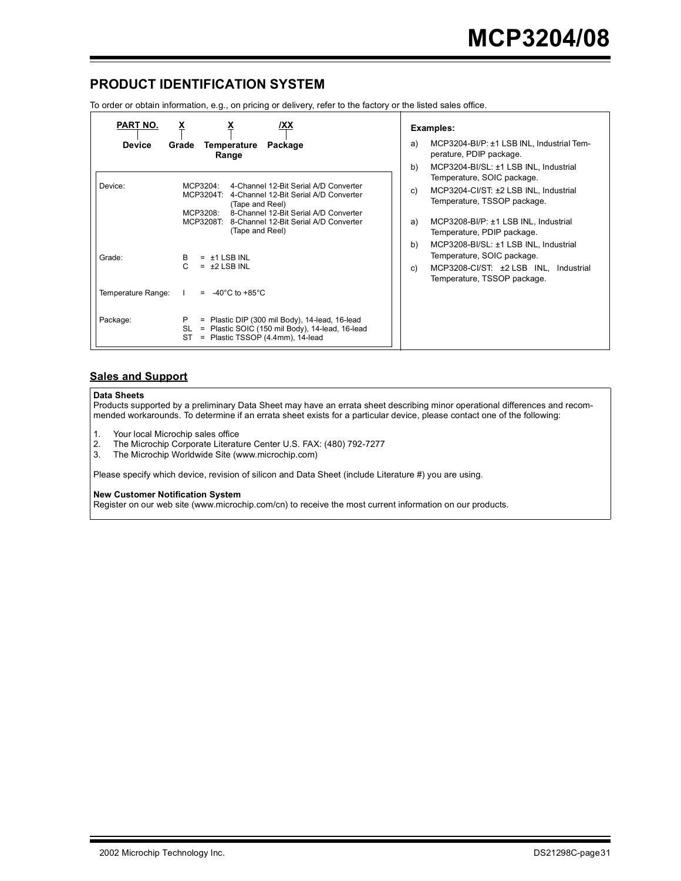## **PRODUCT IDENTIFICATION SYSTEM**

To order or obtain information, e.g., on pricing or delivery, refer to the factory or the listed sales office.

| PART NO.<br><b>Device</b>      | <u>х</u><br>/XX<br>Temperature<br>Grade<br>Package<br>Range                                                                                                                                                                                       | Examples:<br>MCP3204-BI/P: ±1 LSB INL, Industrial Tem-<br>a)<br>perature, PDIP package.<br>b)<br>MCP3204-BI/SL: ±1 LSB INL, Industrial                                                                                              |
|--------------------------------|---------------------------------------------------------------------------------------------------------------------------------------------------------------------------------------------------------------------------------------------------|-------------------------------------------------------------------------------------------------------------------------------------------------------------------------------------------------------------------------------------|
| Device:                        | 4-Channel 12-Bit Serial A/D Converter<br>MCP3204:<br>MCP3204T: 4-Channel 12-Bit Serial A/D Converter<br>(Tape and Reel)<br>8-Channel 12-Bit Serial A/D Converter<br>MCP3208<br>MCP3208T: 8-Channel 12-Bit Serial A/D Converter<br>(Tape and Reel) | Temperature, SOIC package.<br>MCP3204-CI/ST: ±2 LSB INL, Industrial<br>C)<br>Temperature, TSSOP package.<br>MCP3208-BI/P: ±1 LSB INL, Industrial<br>a)<br>Temperature, PDIP package.<br>b)<br>MCP3208-BI/SL: ±1 LSB INL, Industrial |
| Grade:                         | $=$ $\pm$ 1 LSB INL<br>B<br>C.<br>$=$ $\pm 2$ LSB INL                                                                                                                                                                                             | Temperature, SOIC package.<br>MCP3208-CI/ST: ±2 LSB INL, Industrial<br>C)<br>Temperature, TSSOP package.                                                                                                                            |
| Temperature Range:<br>Package: | $= -40^{\circ}$ C to +85 $^{\circ}$ C<br>P.<br>$=$ Plastic DIP (300 mil Body), 14-lead, 16-lead<br>= Plastic SOIC (150 mil Body), 14-lead, 16-lead<br>SL<br>= Plastic TSSOP (4.4mm), 14-lead<br>ST                                                |                                                                                                                                                                                                                                     |

#### **Sales and Support**

#### **Data Sheets**

Products supported by a preliminary Data Sheet may have an errata sheet describing minor operational differences and recommended workarounds. To determine if an errata sheet exists for a particular device, please contact one of the following:

1. Your local Microchip sales office<br>2. The Microchip Corporate Literatu

- 2. The Microchip Corporate Literature Center U.S. FAX: (480) 792-7277
- 3. The Microchip Worldwide Site (www.microchip.com)

Please specify which device, revision of silicon and Data Sheet (include Literature #) you are using.

#### **New Customer Notification System**

Register on our web site (www.microchip.com/cn) to receive the most current information on our products.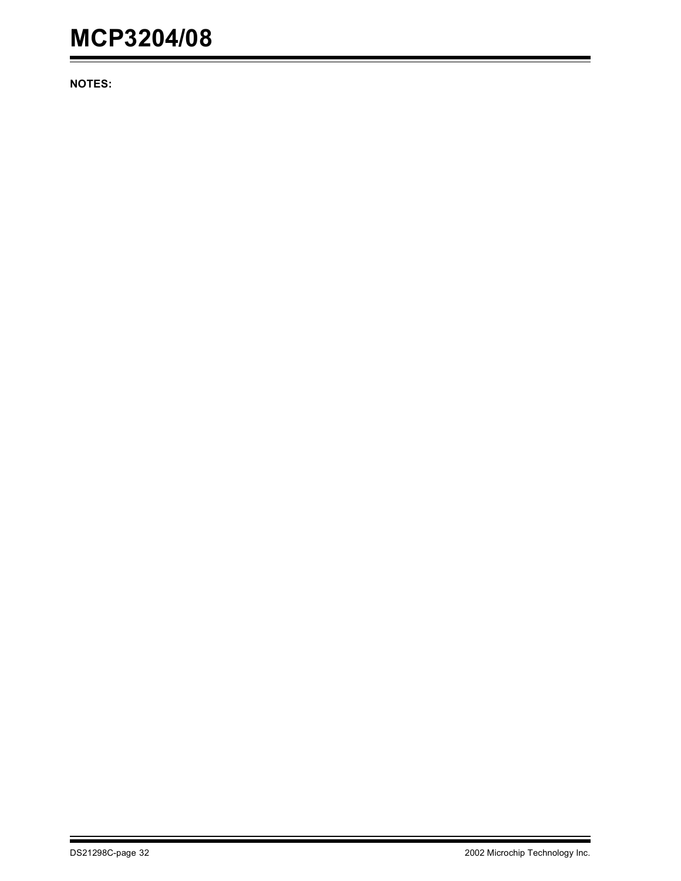**NOTES:**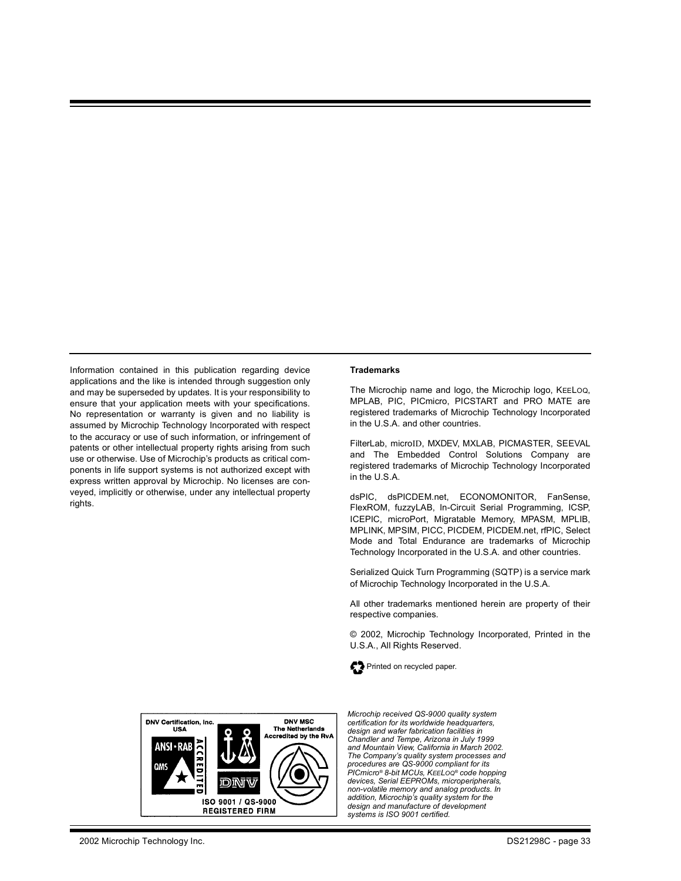Information contained in this publication regarding device applications and the like is intended through suggestion only and may be superseded by updates. It is your responsibility to ensure that your application meets with your specifications. No representation or warranty is given and no liability is assumed by Microchip Technology Incorporated with respect to the accuracy or use of such information, or infringement of patents or other intellectual property rights arising from such use or otherwise. Use of Microchip's products as critical components in life support systems is not authorized except with express written approval by Microchip. No licenses are conveyed, implicitly or otherwise, under any intellectual property rights.

#### **Trademarks**

The Microchip name and logo, the Microchip logo, KEELOQ, MPLAB, PIC, PICmicro, PICSTART and PRO MATE are registered trademarks of Microchip Technology Incorporated in the U.S.A. and other countries.

FilterLab, microID, MXDEV, MXLAB, PICMASTER, SEEVAL and The Embedded Control Solutions Company are registered trademarks of Microchip Technology Incorporated in the U.S.A.

dsPIC, dsPICDEM.net, ECONOMONITOR, FanSense, FlexROM, fuzzyLAB, In-Circuit Serial Programming, ICSP, ICEPIC, microPort, Migratable Memory, MPASM, MPLIB, MPLINK, MPSIM, PICC, PICDEM, PICDEM.net, rfPIC, Select Mode and Total Endurance are trademarks of Microchip Technology Incorporated in the U.S.A. and other countries.

Serialized Quick Turn Programming (SQTP) is a service mark of Microchip Technology Incorporated in the U.S.A.

All other trademarks mentioned herein are property of their respective companies.

© 2002, Microchip Technology Incorporated, Printed in the U.S.A., All Rights Reserved.





*Microchip received QS-9000 quality system certification for its worldwide headquarters, design and wafer fabrication facilities in Chandler and Tempe, Arizona in July 1999 and Mountain View, California in March 2002. The Company's quality system processes and procedures are QS-9000 compliant for its PICmicro® 8-bit MCUs, KEELOQ® code hopping devices, Serial EEPROMs, microperipherals, non-volatile memory and analog products. In addition, Microchip's quality system for the design and manufacture of development systems is ISO 9001 certified.*